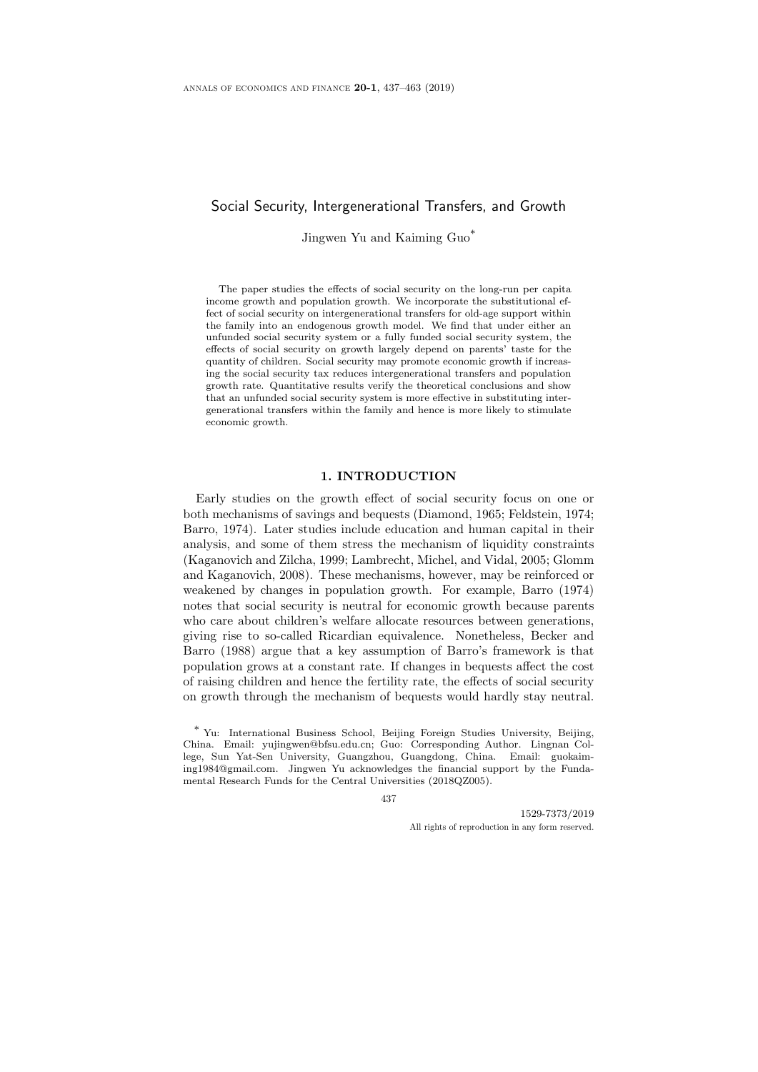# Social Security, Intergenerational Transfers, and Growth

Jingwen Yu and Kaiming Guo\*

The paper studies the effects of social security on the long-run per capita income growth and population growth. We incorporate the substitutional effect of social security on intergenerational transfers for old-age support within the family into an endogenous growth model. We find that under either an unfunded social security system or a fully funded social security system, the effects of social security on growth largely depend on parents' taste for the quantity of children. Social security may promote economic growth if increasing the social security tax reduces intergenerational transfers and population growth rate. Quantitative results verify the theoretical conclusions and show that an unfunded social security system is more effective in substituting intergenerational transfers within the family and hence is more likely to stimulate economic growth.

#### 1. INTRODUCTION

Early studies on the growth effect of social security focus on one or both mechanisms of savings and bequests (Diamond, 1965; Feldstein, 1974; Barro, 1974). Later studies include education and human capital in their analysis, and some of them stress the mechanism of liquidity constraints (Kaganovich and Zilcha, 1999; Lambrecht, Michel, and Vidal, 2005; Glomm and Kaganovich, 2008). These mechanisms, however, may be reinforced or weakened by changes in population growth. For example, Barro (1974) notes that social security is neutral for economic growth because parents who care about children's welfare allocate resources between generations, giving rise to so-called Ricardian equivalence. Nonetheless, Becker and Barro (1988) argue that a key assumption of Barro's framework is that population grows at a constant rate. If changes in bequests affect the cost of raising children and hence the fertility rate, the effects of social security on growth through the mechanism of bequests would hardly stay neutral.

437

1529-7373/2019 All rights of reproduction in any form reserved.

<sup>\*</sup> Yu: International Business School, Beijing Foreign Studies University, Beijing, China. Email: yujingwen@bfsu.edu.cn; Guo: Corresponding Author. Lingnan College, Sun Yat-Sen University, Guangzhou, Guangdong, China. Email: guokaiming1984@gmail.com. Jingwen Yu acknowledges the financial support by the Fundamental Research Funds for the Central Universities (2018QZ005).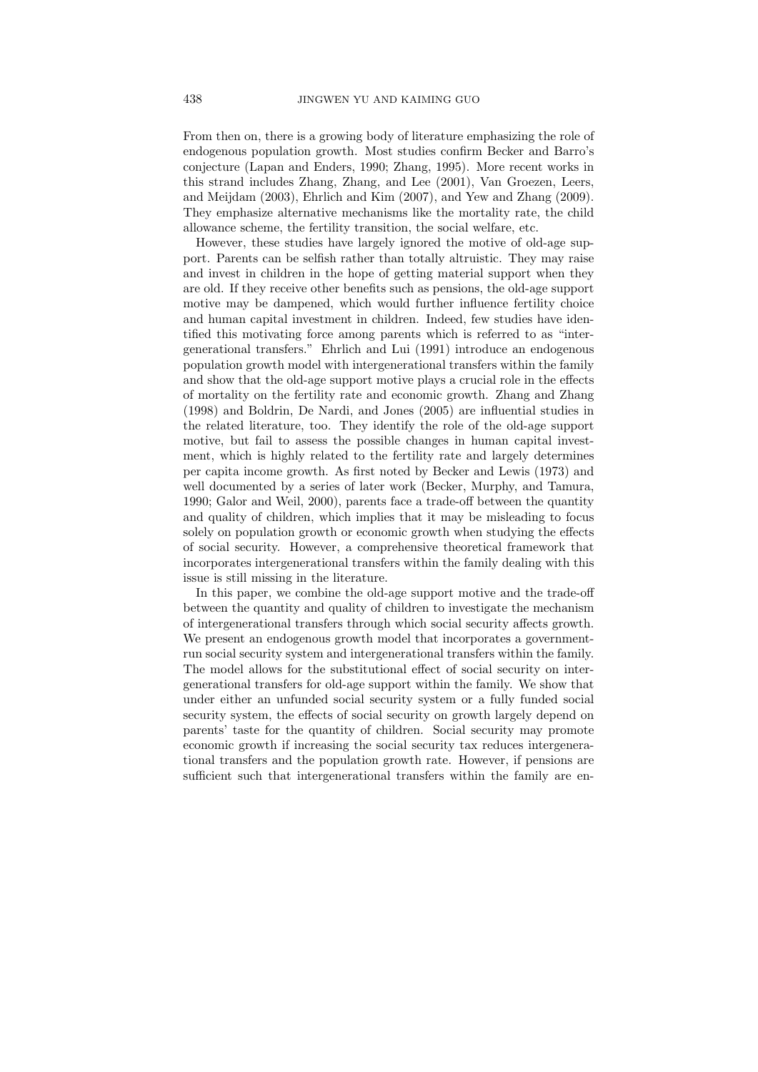From then on, there is a growing body of literature emphasizing the role of endogenous population growth. Most studies confirm Becker and Barro's conjecture (Lapan and Enders, 1990; Zhang, 1995). More recent works in this strand includes Zhang, Zhang, and Lee (2001), Van Groezen, Leers, and Meijdam (2003), Ehrlich and Kim (2007), and Yew and Zhang (2009). They emphasize alternative mechanisms like the mortality rate, the child allowance scheme, the fertility transition, the social welfare, etc.

However, these studies have largely ignored the motive of old-age support. Parents can be selfish rather than totally altruistic. They may raise and invest in children in the hope of getting material support when they are old. If they receive other benefits such as pensions, the old-age support motive may be dampened, which would further influence fertility choice and human capital investment in children. Indeed, few studies have identified this motivating force among parents which is referred to as "intergenerational transfers." Ehrlich and Lui (1991) introduce an endogenous population growth model with intergenerational transfers within the family and show that the old-age support motive plays a crucial role in the effects of mortality on the fertility rate and economic growth. Zhang and Zhang (1998) and Boldrin, De Nardi, and Jones (2005) are influential studies in the related literature, too. They identify the role of the old-age support motive, but fail to assess the possible changes in human capital investment, which is highly related to the fertility rate and largely determines per capita income growth. As first noted by Becker and Lewis (1973) and well documented by a series of later work (Becker, Murphy, and Tamura, 1990; Galor and Weil, 2000), parents face a trade-off between the quantity and quality of children, which implies that it may be misleading to focus solely on population growth or economic growth when studying the effects of social security. However, a comprehensive theoretical framework that incorporates intergenerational transfers within the family dealing with this issue is still missing in the literature.

In this paper, we combine the old-age support motive and the trade-off between the quantity and quality of children to investigate the mechanism of intergenerational transfers through which social security affects growth. We present an endogenous growth model that incorporates a governmentrun social security system and intergenerational transfers within the family. The model allows for the substitutional effect of social security on intergenerational transfers for old-age support within the family. We show that under either an unfunded social security system or a fully funded social security system, the effects of social security on growth largely depend on parents' taste for the quantity of children. Social security may promote economic growth if increasing the social security tax reduces intergenerational transfers and the population growth rate. However, if pensions are sufficient such that intergenerational transfers within the family are en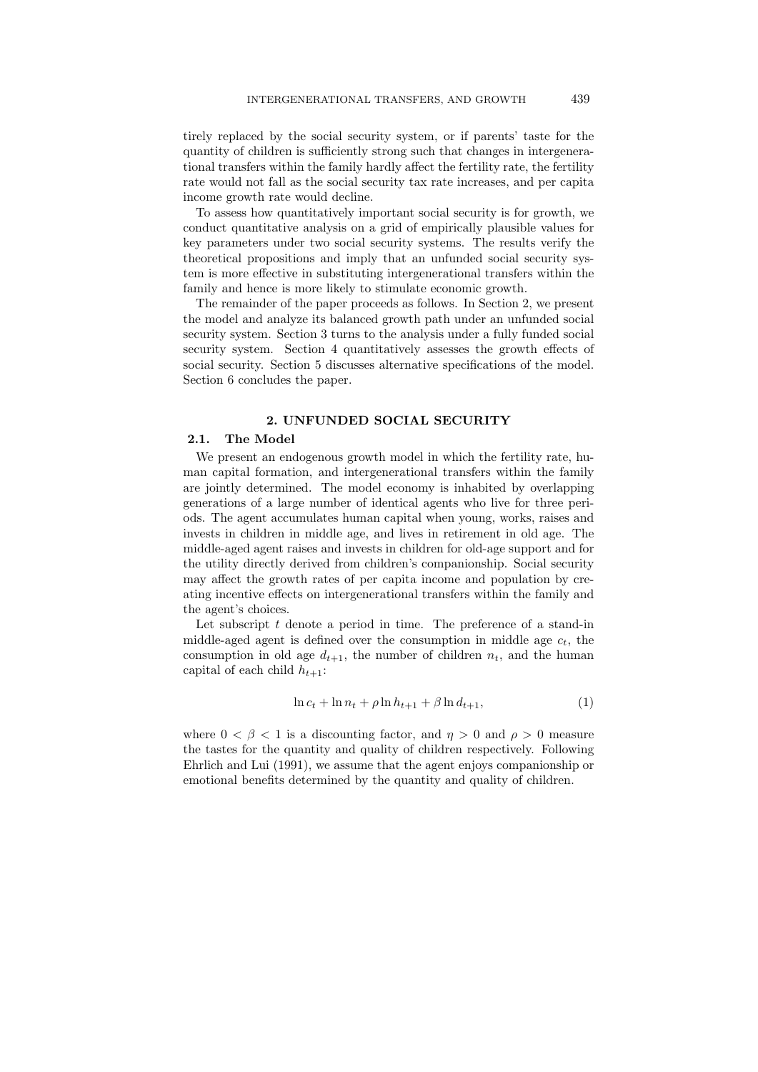tirely replaced by the social security system, or if parents' taste for the quantity of children is sufficiently strong such that changes in intergenerational transfers within the family hardly affect the fertility rate, the fertility rate would not fall as the social security tax rate increases, and per capita income growth rate would decline.

To assess how quantitatively important social security is for growth, we conduct quantitative analysis on a grid of empirically plausible values for key parameters under two social security systems. The results verify the theoretical propositions and imply that an unfunded social security system is more effective in substituting intergenerational transfers within the family and hence is more likely to stimulate economic growth.

The remainder of the paper proceeds as follows. In Section 2, we present the model and analyze its balanced growth path under an unfunded social security system. Section 3 turns to the analysis under a fully funded social security system. Section 4 quantitatively assesses the growth effects of social security. Section 5 discusses alternative specifications of the model. Section 6 concludes the paper.

## 2. UNFUNDED SOCIAL SECURITY

## 2.1. The Model

We present an endogenous growth model in which the fertility rate, human capital formation, and intergenerational transfers within the family are jointly determined. The model economy is inhabited by overlapping generations of a large number of identical agents who live for three periods. The agent accumulates human capital when young, works, raises and invests in children in middle age, and lives in retirement in old age. The middle-aged agent raises and invests in children for old-age support and for the utility directly derived from children's companionship. Social security may affect the growth rates of per capita income and population by creating incentive effects on intergenerational transfers within the family and the agent's choices.

Let subscript  $t$  denote a period in time. The preference of a stand-in middle-aged agent is defined over the consumption in middle age  $c_t$ , the consumption in old age  $d_{t+1}$ , the number of children  $n_t$ , and the human capital of each child  $h_{t+1}$ :

$$
\ln c_t + \ln n_t + \rho \ln h_{t+1} + \beta \ln d_{t+1},\tag{1}
$$

where  $0 < \beta < 1$  is a discounting factor, and  $\eta > 0$  and  $\rho > 0$  measure the tastes for the quantity and quality of children respectively. Following Ehrlich and Lui (1991), we assume that the agent enjoys companionship or emotional benefits determined by the quantity and quality of children.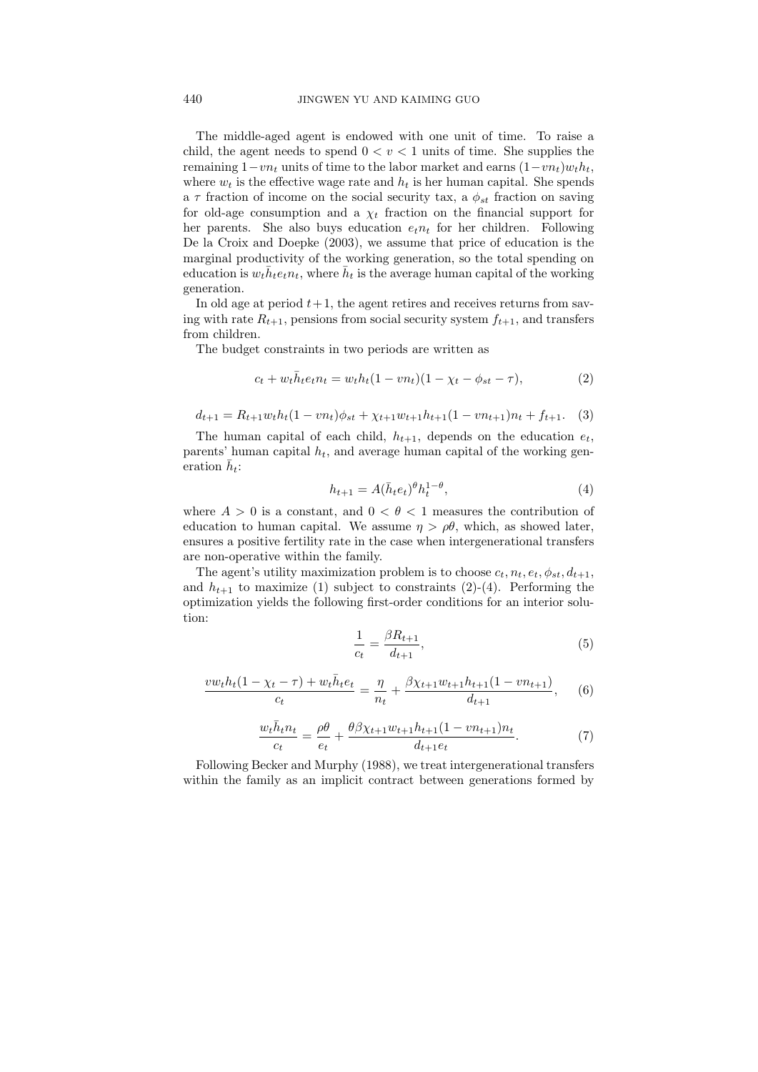The middle-aged agent is endowed with one unit of time. To raise a child, the agent needs to spend  $0 < v < 1$  units of time. She supplies the remaining  $1-vn_t$  units of time to the labor market and earns  $(1-vn_t)w_th_t$ , where  $w_t$  is the effective wage rate and  $h_t$  is her human capital. She spends a  $\tau$  fraction of income on the social security tax, a  $\phi_{st}$  fraction on saving for old-age consumption and a  $\chi_t$  fraction on the financial support for her parents. She also buys education  $e_t n_t$  for her children. Following De la Croix and Doepke (2003), we assume that price of education is the marginal productivity of the working generation, so the total spending on education is  $w_t \bar{h}_t e_t n_t$ , where  $\bar{h}_t$  is the average human capital of the working generation.

In old age at period  $t + 1$ , the agent retires and receives returns from saving with rate  $R_{t+1}$ , pensions from social security system  $f_{t+1}$ , and transfers from children.

The budget constraints in two periods are written as

$$
c_t + w_t \bar{h}_t e_t n_t = w_t h_t (1 - v n_t) (1 - \chi_t - \phi_{st} - \tau), \tag{2}
$$

$$
d_{t+1} = R_{t+1}w_t h_t (1 - v n_t) \phi_{st} + \chi_{t+1} w_{t+1} h_{t+1} (1 - v n_{t+1}) n_t + f_{t+1}.
$$
 (3)

The human capital of each child,  $h_{t+1}$ , depends on the education  $e_t$ , parents' human capital  $h_t$ , and average human capital of the working generation  $\bar{h}_t$ :

$$
h_{t+1} = A(\bar{h}_t e_t)^{\theta} h_t^{1-\theta},\tag{4}
$$

where  $A > 0$  is a constant, and  $0 < \theta < 1$  measures the contribution of education to human capital. We assume  $\eta > \rho \theta$ , which, as showed later, ensures a positive fertility rate in the case when intergenerational transfers are non-operative within the family.

The agent's utility maximization problem is to choose  $c_t$ ,  $n_t$ ,  $e_t$ ,  $\phi_{st}$ ,  $d_{t+1}$ , and  $h_{t+1}$  to maximize (1) subject to constraints (2)-(4). Performing the optimization yields the following first-order conditions for an interior solution:

$$
\frac{1}{c_t} = \frac{\beta R_{t+1}}{d_{t+1}},\tag{5}
$$

$$
\frac{vw_th_t(1-\chi_t-\tau)+w_t\bar{h}_te_t}{c_t} = \frac{\eta}{n_t} + \frac{\beta\chi_{t+1}w_{t+1}h_{t+1}(1-vn_{t+1})}{d_{t+1}},\tag{6}
$$

$$
\frac{w_t \bar{h}_t n_t}{c_t} = \frac{\rho \theta}{e_t} + \frac{\theta \beta \chi_{t+1} w_{t+1} h_{t+1} (1 - v n_{t+1}) n_t}{d_{t+1} e_t}.
$$
(7)

Following Becker and Murphy (1988), we treat intergenerational transfers within the family as an implicit contract between generations formed by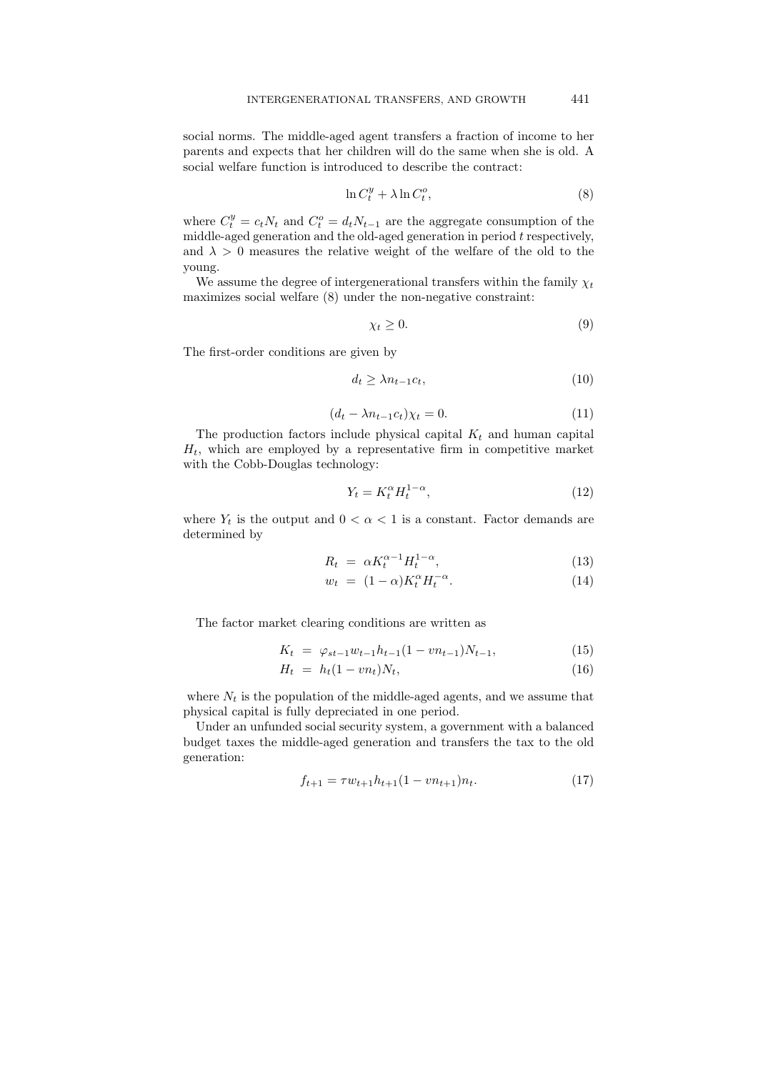social norms. The middle-aged agent transfers a fraction of income to her parents and expects that her children will do the same when she is old. A social welfare function is introduced to describe the contract:

$$
\ln C_t^y + \lambda \ln C_t^o,\tag{8}
$$

where  $C_t^y = c_t N_t$  and  $C_t^o = d_t N_{t-1}$  are the aggregate consumption of the middle-aged generation and the old-aged generation in period  $t$  respectively, and  $\lambda > 0$  measures the relative weight of the welfare of the old to the young.

We assume the degree of intergenerational transfers within the family  $\chi_t$ maximizes social welfare (8) under the non-negative constraint:

$$
\chi_t \ge 0. \tag{9}
$$

The first-order conditions are given by

$$
d_t \ge \lambda n_{t-1} c_t,\tag{10}
$$

$$
(d_t - \lambda n_{t-1} c_t) \chi_t = 0.
$$
\n<sup>(11)</sup>

The production factors include physical capital  $K_t$  and human capital  $H_t$ , which are employed by a representative firm in competitive market with the Cobb-Douglas technology:

$$
Y_t = K_t^{\alpha} H_t^{1-\alpha},\tag{12}
$$

where  $Y_t$  is the output and  $0 < \alpha < 1$  is a constant. Factor demands are determined by

$$
R_t = \alpha K_t^{\alpha - 1} H_t^{1 - \alpha}, \tag{13}
$$

$$
w_t = (1 - \alpha)K_t^{\alpha} H_t^{-\alpha}.
$$
\n(14)

The factor market clearing conditions are written as

$$
K_t = \varphi_{st-1} w_{t-1} h_{t-1} (1 - v n_{t-1}) N_{t-1}, \tag{15}
$$

$$
H_t = h_t(1 - v n_t)N_t, \t\t(16)
$$

where  $N_t$  is the population of the middle-aged agents, and we assume that physical capital is fully depreciated in one period.

Under an unfunded social security system, a government with a balanced budget taxes the middle-aged generation and transfers the tax to the old generation:

$$
f_{t+1} = \tau w_{t+1} h_{t+1} (1 - v n_{t+1}) n_t.
$$
\n<sup>(17)</sup>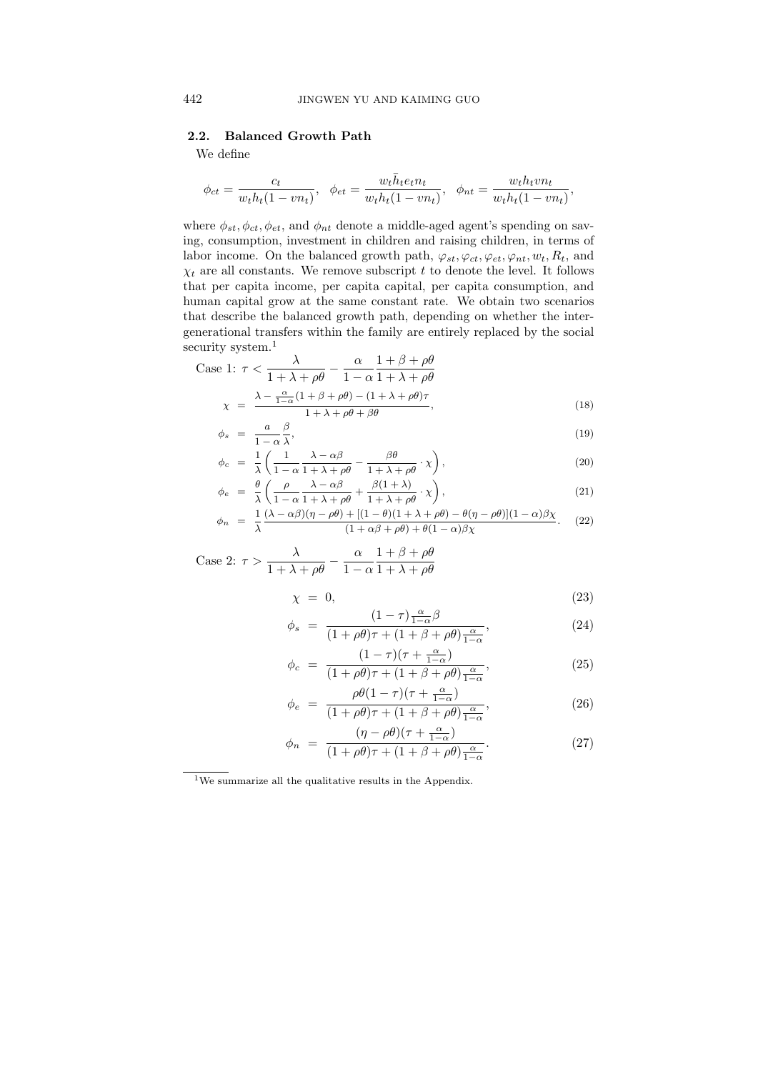## 2.2. Balanced Growth Path

We define

$$
\phi_{ct} = \frac{c_t}{w_t h_t (1 - v n_t)}, \quad \phi_{et} = \frac{w_t \bar{h}_t e_t n_t}{w_t h_t (1 - v n_t)}, \quad \phi_{nt} = \frac{w_t h_t v n_t}{w_t h_t (1 - v n_t)},
$$

where  $\phi_{st}$ ,  $\phi_{ct}$ ,  $\phi_{et}$ , and  $\phi_{nt}$  denote a middle-aged agent's spending on saving, consumption, investment in children and raising children, in terms of labor income. On the balanced growth path,  $\varphi_{st}$ ,  $\varphi_{ct}$ ,  $\varphi_{et}$ ,  $\varphi_{nt}$ ,  $w_t$ ,  $R_t$ , and  $\chi_t$  are all constants. We remove subscript t to denote the level. It follows that per capita income, per capita capital, per capita consumption, and human capital grow at the same constant rate. We obtain two scenarios that describe the balanced growth path, depending on whether the intergenerational transfers within the family are entirely replaced by the social security system.<sup>1</sup>

Case 1: 
$$
\tau < \frac{\lambda}{1 + \lambda + \rho\theta} - \frac{\alpha}{1 - \alpha} \frac{1 + \beta + \rho\theta}{1 + \lambda + \rho\theta}
$$
\n
$$
\chi = \frac{\lambda - \frac{\alpha}{1 - \alpha} (1 + \beta + \rho\theta) - (1 + \lambda + \rho\theta)\tau}{1 + \lambda + \rho\theta + \rho\theta},\tag{18}
$$

$$
\begin{aligned}\n &\lambda & 1 + \lambda + \rho \theta + \beta \theta \\
 &\phi_s = \frac{a}{1 - \alpha} \frac{\beta}{\lambda},\n \end{aligned}\n \tag{19}
$$

$$
\phi_c = \frac{1}{\lambda} \left( \frac{1}{1 - \alpha} \frac{\lambda - \alpha \beta}{1 + \lambda + \rho \theta} - \frac{\beta \theta}{1 + \lambda + \rho \theta} \cdot \chi \right),\tag{20}
$$

$$
\phi_e = \frac{\theta}{\lambda} \left( \frac{\rho}{1 - \alpha} \frac{\lambda - \alpha \beta}{1 + \lambda + \rho \theta} + \frac{\beta (1 + \lambda)}{1 + \lambda + \rho \theta} \cdot \chi \right),\tag{21}
$$

$$
\phi_n = \frac{1}{\lambda} \frac{(\lambda - \alpha \beta)(\eta - \rho \theta) + [(1 - \theta)(1 + \lambda + \rho \theta) - \theta(\eta - \rho \theta)](1 - \alpha)\beta\chi}{(1 + \alpha \beta + \rho \theta) + \theta(1 - \alpha)\beta\chi}.
$$
 (22)

Case 2: 
$$
\tau > \frac{\lambda}{1 + \lambda + \rho\theta} - \frac{\alpha}{1 - \alpha} \frac{1 + \beta + \rho\theta}{1 + \lambda + \rho\theta}
$$

$$
\chi = 0,\tag{23}
$$

$$
\phi_s = \frac{(1-\tau)\frac{\alpha}{1-\alpha}\beta}{(1+\rho\theta)\tau + (1+\beta+\rho\theta)\frac{\alpha}{1-\alpha}},\tag{24}
$$

$$
\phi_c = \frac{(1-\tau)(\tau + \frac{\alpha}{1-\alpha})}{(1+\rho\theta)\tau + (1+\beta+\rho\theta)\frac{\alpha}{1-\alpha}},\tag{25}
$$

$$
\phi_e = \frac{\rho \theta (1 - \tau)(\tau + \frac{\alpha}{1 - \alpha})}{(1 + \rho \theta)\tau + (1 + \beta + \rho \theta) \frac{\alpha}{1 - \alpha}},\tag{26}
$$

$$
\phi_n = \frac{(\eta - \rho \theta)(\tau + \frac{\alpha}{1 - \alpha})}{(1 + \rho \theta)\tau + (1 + \beta + \rho \theta)\frac{\alpha}{1 - \alpha}}.\tag{27}
$$

 $^{\rm 1}{\rm We}$  summarize all the qualitative results in the Appendix.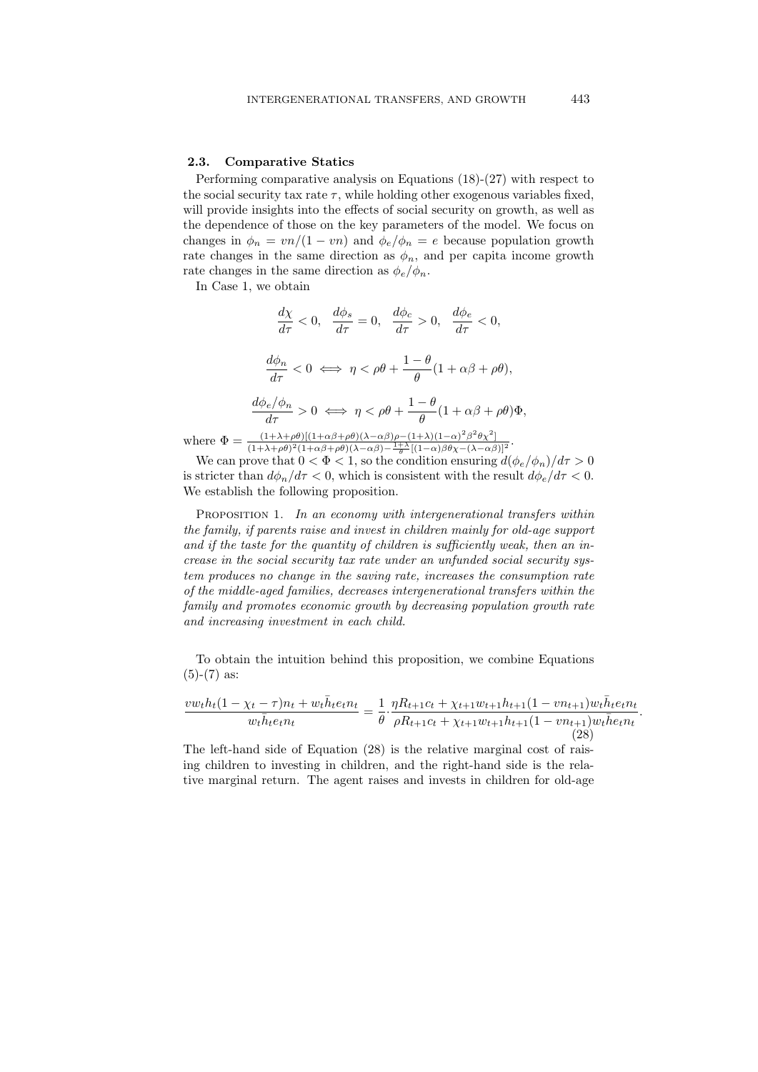## 2.3. Comparative Statics

Performing comparative analysis on Equations (18)-(27) with respect to the social security tax rate  $\tau$ , while holding other exogenous variables fixed, will provide insights into the effects of social security on growth, as well as the dependence of those on the key parameters of the model. We focus on changes in  $\phi_n = \frac{v n}{1 - v n}$  and  $\phi_e / \phi_n = e$  because population growth rate changes in the same direction as  $\phi_n$ , and per capita income growth rate changes in the same direction as  $\phi_e/\phi_n$ .

In Case 1, we obtain

$$
\frac{d\chi}{d\tau} < 0, \quad \frac{d\phi_s}{d\tau} = 0, \quad \frac{d\phi_c}{d\tau} > 0, \quad \frac{d\phi_e}{d\tau} < 0,
$$
\n
$$
\frac{d\phi_n}{d\tau} < 0 \iff \eta < \rho\theta + \frac{1-\theta}{\theta}(1+\alpha\beta+\rho\theta),
$$
\n
$$
\frac{d\phi_e/\phi_n}{d\tau} > 0 \iff \eta < \rho\theta + \frac{1-\theta}{\theta}(1+\alpha\beta+\rho\theta)\Phi,
$$
\n
$$
= \frac{(1+\lambda+\rho\theta)[(1+\alpha\beta+\rho\theta)(\lambda-\alpha\beta)\rho-(1+\lambda)(1-\alpha)^2\beta^2\theta\chi^2]}{1-\lambda}.
$$

where  $\Phi = \frac{(1+\lambda+\rho\theta)[(1+\alpha\beta+\rho\theta)(\lambda-\alpha\beta)\rho-(1+\lambda)(1-\alpha)^2\beta^2\theta\chi^2]}{(1+\lambda)(1-\alpha)^2(1+\alpha\beta+\rho\theta)(\lambda-\alpha\beta)^{-1+\lambda}[(1-\alpha)^2\theta\chi(\lambda-\alpha\beta)]}$  $\frac{(1+\lambda+\rho\theta)[(1+\alpha\beta+\rho\theta)(\lambda-\alpha\beta)\rho-(1+\lambda)(1-\alpha)^{-}\beta^{-}\theta\chi^{-}]}{(1+\lambda+\rho\theta)^{2}(1+\alpha\beta+\rho\theta)(\lambda-\alpha\beta)-\frac{1+\lambda}{\theta}[(1-\alpha)\beta\theta\chi-(\lambda-\alpha\beta)]^{2}}$ 

We can prove that  $0 < \Phi < 1$ , so the condition ensuring  $d(\phi_e/\phi_n)/d\tau > 0$ is stricter than  $d\phi_n/d\tau < 0$ , which is consistent with the result  $d\phi_e/d\tau < 0$ . We establish the following proposition.

PROPOSITION 1. In an economy with intergenerational transfers within the family, if parents raise and invest in children mainly for old-age support and if the taste for the quantity of children is sufficiently weak, then an increase in the social security tax rate under an unfunded social security system produces no change in the saving rate, increases the consumption rate of the middle-aged families, decreases intergenerational transfers within the family and promotes economic growth by decreasing population growth rate and increasing investment in each child.

To obtain the intuition behind this proposition, we combine Equations  $(5)-(7)$  as:

$$
\frac{vw_th_t(1-\chi_t-\tau)n_t+w_t\bar{h}_te_tn_t}{w_t\bar{h}_te_tn_t} = \frac{1}{\theta} \cdot \frac{\eta R_{t+1}c_t + \chi_{t+1}w_{t+1}h_{t+1}(1-vn_{t+1})w_t\bar{h}_te_tn_t}{\rho R_{t+1}c_t + \chi_{t+1}w_{t+1}h_{t+1}(1-vn_{t+1})w_t\bar{h}e_tn_t}.
$$
\n(28)

The left-hand side of Equation (28) is the relative marginal cost of raising children to investing in children, and the right-hand side is the relative marginal return. The agent raises and invests in children for old-age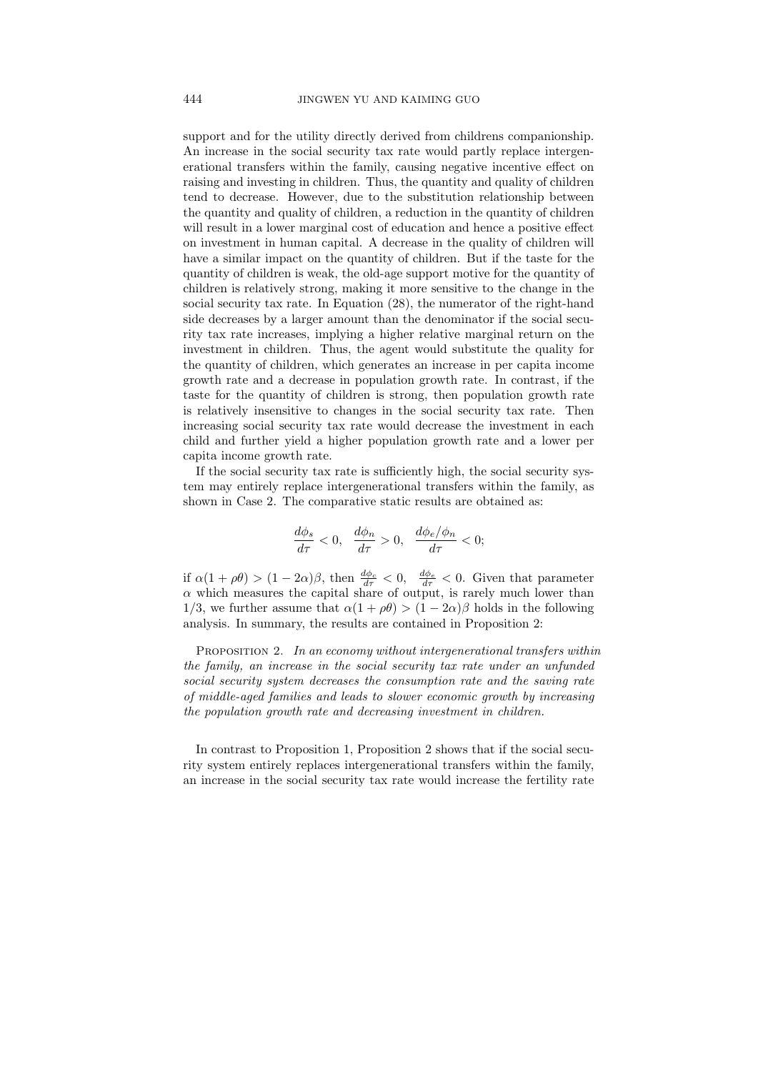support and for the utility directly derived from childrens companionship. An increase in the social security tax rate would partly replace intergenerational transfers within the family, causing negative incentive effect on raising and investing in children. Thus, the quantity and quality of children tend to decrease. However, due to the substitution relationship between the quantity and quality of children, a reduction in the quantity of children will result in a lower marginal cost of education and hence a positive effect on investment in human capital. A decrease in the quality of children will have a similar impact on the quantity of children. But if the taste for the quantity of children is weak, the old-age support motive for the quantity of children is relatively strong, making it more sensitive to the change in the social security tax rate. In Equation (28), the numerator of the right-hand side decreases by a larger amount than the denominator if the social security tax rate increases, implying a higher relative marginal return on the investment in children. Thus, the agent would substitute the quality for the quantity of children, which generates an increase in per capita income growth rate and a decrease in population growth rate. In contrast, if the taste for the quantity of children is strong, then population growth rate is relatively insensitive to changes in the social security tax rate. Then increasing social security tax rate would decrease the investment in each child and further yield a higher population growth rate and a lower per capita income growth rate.

If the social security tax rate is sufficiently high, the social security system may entirely replace intergenerational transfers within the family, as shown in Case 2. The comparative static results are obtained as:

$$
\frac{d\phi_s}{d\tau}<0,\quad \frac{d\phi_n}{d\tau}>0,\quad \frac{d\phi_e/\phi_n}{d\tau}<0;
$$

if  $\alpha(1+\rho\theta) > (1-2\alpha)\beta$ , then  $\frac{d\phi_c}{d\tau} < 0$ ,  $\frac{d\phi_e}{d\tau} < 0$ . Given that parameter  $\alpha$  which measures the capital share of output, is rarely much lower than 1/3, we further assume that  $\alpha(1+\rho\theta) > (1-2\alpha)\beta$  holds in the following analysis. In summary, the results are contained in Proposition 2:

PROPOSITION 2. In an economy without intergenerational transfers within the family, an increase in the social security tax rate under an unfunded social security system decreases the consumption rate and the saving rate of middle-aged families and leads to slower economic growth by increasing the population growth rate and decreasing investment in children.

In contrast to Proposition 1, Proposition 2 shows that if the social security system entirely replaces intergenerational transfers within the family, an increase in the social security tax rate would increase the fertility rate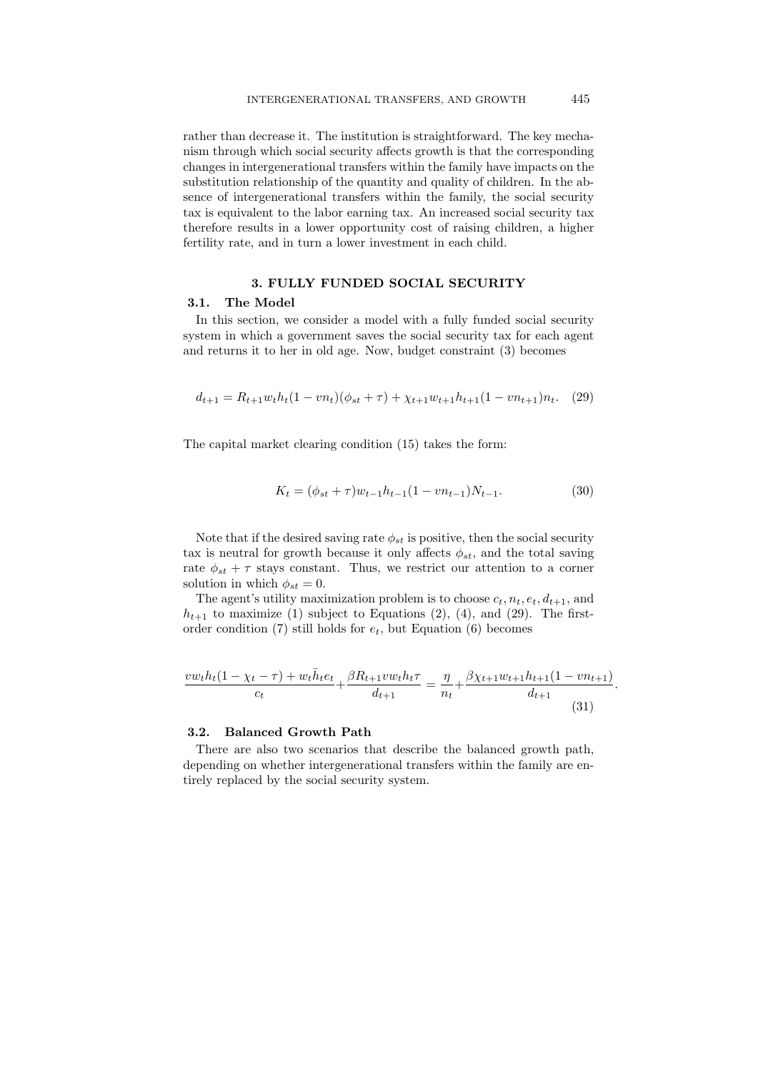rather than decrease it. The institution is straightforward. The key mechanism through which social security affects growth is that the corresponding changes in intergenerational transfers within the family have impacts on the substitution relationship of the quantity and quality of children. In the absence of intergenerational transfers within the family, the social security tax is equivalent to the labor earning tax. An increased social security tax therefore results in a lower opportunity cost of raising children, a higher fertility rate, and in turn a lower investment in each child.

## 3. FULLY FUNDED SOCIAL SECURITY

#### 3.1. The Model

In this section, we consider a model with a fully funded social security system in which a government saves the social security tax for each agent and returns it to her in old age. Now, budget constraint (3) becomes

$$
d_{t+1} = R_{t+1} w_t h_t (1 - v n_t) (\phi_{st} + \tau) + \chi_{t+1} w_{t+1} h_{t+1} (1 - v n_{t+1}) n_t. \tag{29}
$$

The capital market clearing condition (15) takes the form:

$$
K_t = (\phi_{st} + \tau)w_{t-1}h_{t-1}(1 - vn_{t-1})N_{t-1}.
$$
\n(30)

Note that if the desired saving rate  $\phi_{st}$  is positive, then the social security tax is neutral for growth because it only affects  $\phi_{st}$ , and the total saving rate  $\phi_{st} + \tau$  stays constant. Thus, we restrict our attention to a corner solution in which  $\phi_{st} = 0$ .

The agent's utility maximization problem is to choose  $c_t$ ,  $n_t$ ,  $e_t$ ,  $d_{t+1}$ , and  $h_{t+1}$  to maximize (1) subject to Equations (2), (4), and (29). The firstorder condition (7) still holds for  $e_t$ , but Equation (6) becomes

$$
\frac{vw_th_t(1-\chi_t-\tau) + w_t\bar{h}_te_t}{c_t} + \frac{\beta R_{t+1}vw_th_t\tau}{d_{t+1}} = \frac{\eta}{n_t} + \frac{\beta \chi_{t+1}w_{t+1}h_{t+1}(1-vn_{t+1})}{d_{t+1}}
$$
(31)

#### 3.2. Balanced Growth Path

There are also two scenarios that describe the balanced growth path, depending on whether intergenerational transfers within the family are entirely replaced by the social security system.

.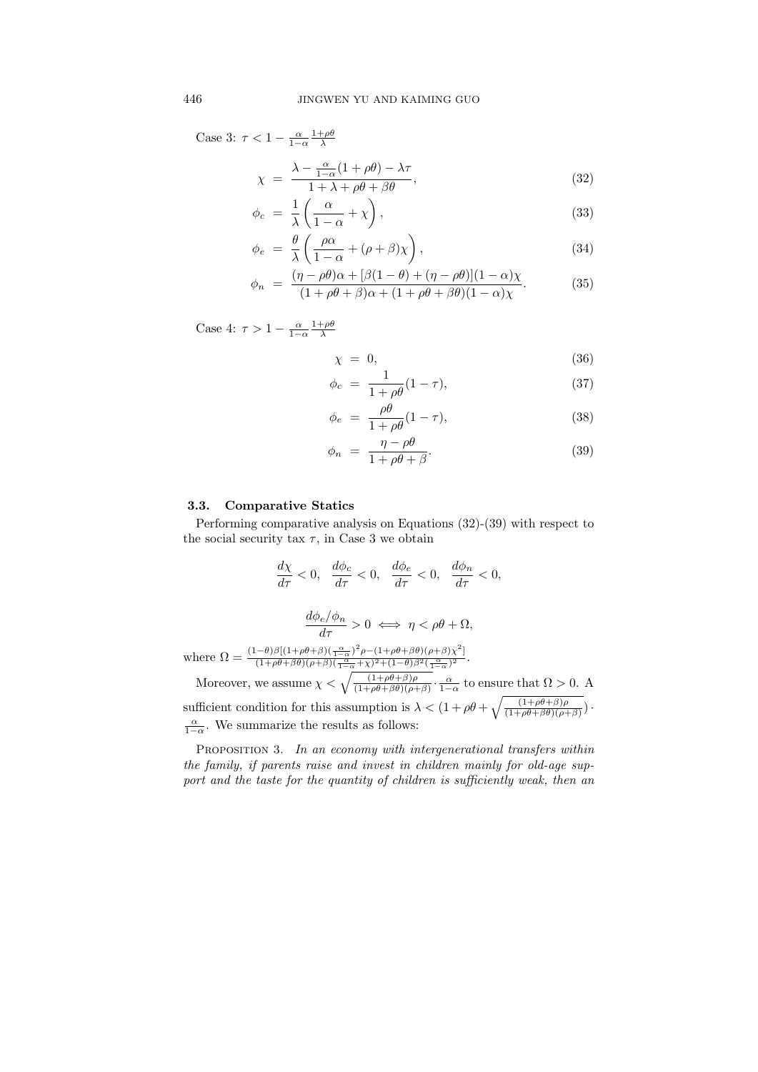Case 3:  $\tau < 1 - \frac{\alpha}{1-\alpha} \frac{1+\rho\theta}{\lambda}$ 

$$
\chi = \frac{\lambda - \frac{\alpha}{1 - \alpha} (1 + \rho \theta) - \lambda \tau}{1 + \lambda + \rho \theta + \beta \theta},
$$
\n(32)

$$
\phi_c = \frac{1}{\lambda} \left( \frac{\alpha}{1 - \alpha} + \chi \right),\tag{33}
$$

$$
\phi_e = \frac{\theta}{\lambda} \left( \frac{\rho \alpha}{1 - \alpha} + (\rho + \beta) \chi \right),\tag{34}
$$

$$
\phi_n = \frac{(\eta - \rho \theta)\alpha + [\beta(1 - \theta) + (\eta - \rho \theta)](1 - \alpha)\chi}{(1 + \rho \theta + \beta)\alpha + (1 + \rho \theta + \beta \theta)(1 - \alpha)\chi}.
$$
 (35)

Case 4:  $\tau > 1 - \frac{\alpha}{1-\alpha} \frac{1+\rho\theta}{\lambda}$ 

$$
\chi = 0,\tag{36}
$$

$$
\phi_c = \frac{1}{1 + \rho \theta} (1 - \tau),\tag{37}
$$

$$
\phi_e = \frac{\rho \theta}{1 + \rho \theta} (1 - \tau), \tag{38}
$$

$$
\phi_n = \frac{\eta - \rho \theta}{1 + \rho \theta + \beta}.
$$
\n(39)

#### 3.3. Comparative Statics

Performing comparative analysis on Equations (32)-(39) with respect to the social security tax  $\tau$ , in Case 3 we obtain

$$
\frac{d\chi}{d\tau} < 0, \quad \frac{d\phi_c}{d\tau} < 0, \quad \frac{d\phi_e}{d\tau} < 0, \quad \frac{d\phi_n}{d\tau} < 0,
$$
\n
$$
\frac{d\phi_e/\phi_n}{d\tau} > 0 \iff \eta < \rho\theta + \Omega,
$$

where  $\Omega = \frac{(1-\theta)\beta[(1+\rho\theta+\beta)(\frac{\alpha}{1-\alpha})^2\rho-(1+\rho\theta+\beta\theta)(\rho+\beta)\chi^2]}{(1+\rho\theta+\beta\theta)(\rho+\beta)(\frac{\alpha}{1-\alpha}+\chi)^2+(1-\theta)\beta^2(\frac{\alpha}{1-\alpha})^2}$  $\frac{\alpha \beta \beta \left[ (1+\rho\theta+\beta\theta) (1-\alpha) \right] P^{\alpha} (1+\rho\theta+\beta\theta) (\rho+\beta)}{(1+\rho\theta+\beta\theta) (\rho+\beta) (\frac{\alpha}{1-\alpha}+\chi)^2+(1-\theta)\beta^2(\frac{\alpha}{1-\alpha})^2}.$ 

Moreover, we assume  $\chi < \sqrt{\frac{(1+\rho\theta+\beta)\rho}{(1+\rho\theta+\beta\theta)(\rho+\beta)}} \cdot \frac{\alpha}{1-\alpha}$  to ensure that  $\Omega > 0$ . A sufficient condition for this assumption is  $\lambda < (1 + \rho \theta + \sqrt{\frac{(1 + \rho \theta + \beta)\rho}{(1 + \rho \theta + \beta \theta)(\rho + \beta)}})$ . α  $\frac{\alpha}{1-\alpha}$ . We summarize the results as follows:

PROPOSITION 3. In an economy with intergenerational transfers within the family, if parents raise and invest in children mainly for old-age support and the taste for the quantity of children is sufficiently weak, then an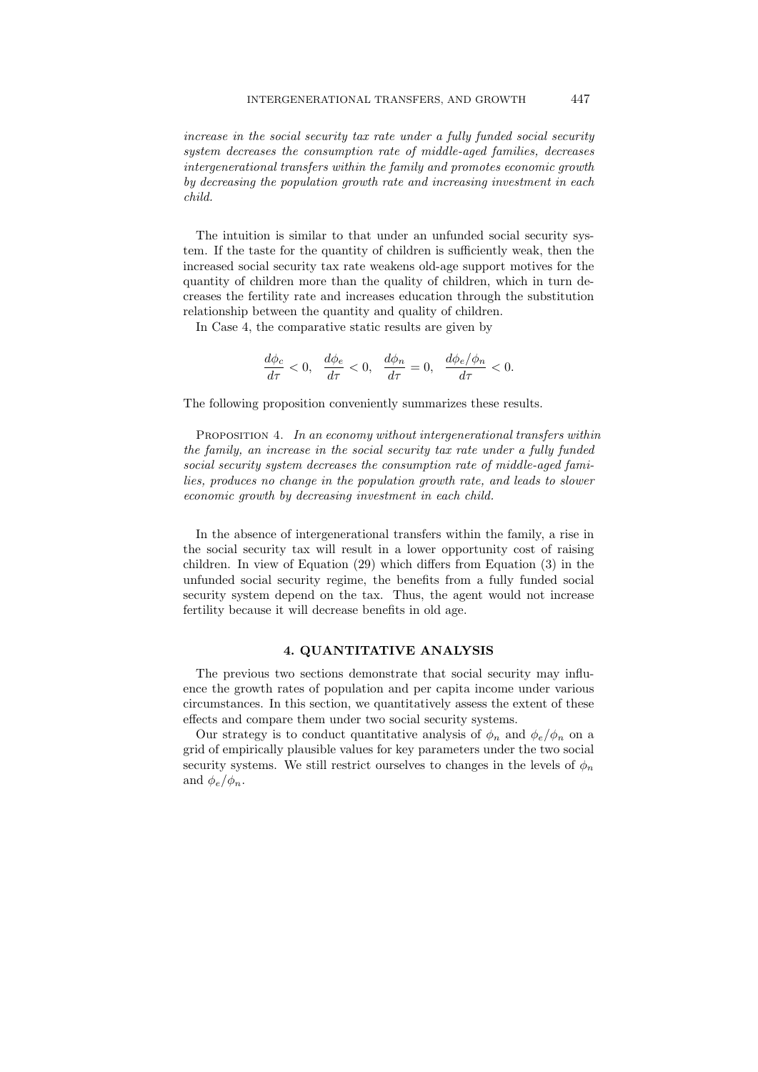increase in the social security tax rate under a fully funded social security system decreases the consumption rate of middle-aged families, decreases intergenerational transfers within the family and promotes economic growth by decreasing the population growth rate and increasing investment in each child.

The intuition is similar to that under an unfunded social security system. If the taste for the quantity of children is sufficiently weak, then the increased social security tax rate weakens old-age support motives for the quantity of children more than the quality of children, which in turn decreases the fertility rate and increases education through the substitution relationship between the quantity and quality of children.

In Case 4, the comparative static results are given by

$$
\frac{d\phi_c}{d\tau}<0,\quad \frac{d\phi_e}{d\tau}<0,\quad \frac{d\phi_n}{d\tau}=0,\quad \frac{d\phi_e/\phi_n}{d\tau}<0.
$$

The following proposition conveniently summarizes these results.

PROPOSITION 4. In an economy without intergenerational transfers within the family, an increase in the social security tax rate under a fully funded social security system decreases the consumption rate of middle-aged families, produces no change in the population growth rate, and leads to slower economic growth by decreasing investment in each child.

In the absence of intergenerational transfers within the family, a rise in the social security tax will result in a lower opportunity cost of raising children. In view of Equation (29) which differs from Equation (3) in the unfunded social security regime, the benefits from a fully funded social security system depend on the tax. Thus, the agent would not increase fertility because it will decrease benefits in old age.

## 4. QUANTITATIVE ANALYSIS

The previous two sections demonstrate that social security may influence the growth rates of population and per capita income under various circumstances. In this section, we quantitatively assess the extent of these effects and compare them under two social security systems.

Our strategy is to conduct quantitative analysis of  $\phi_n$  and  $\phi_e/\phi_n$  on a grid of empirically plausible values for key parameters under the two social security systems. We still restrict ourselves to changes in the levels of  $\phi_n$ and  $\phi_e/\phi_n$ .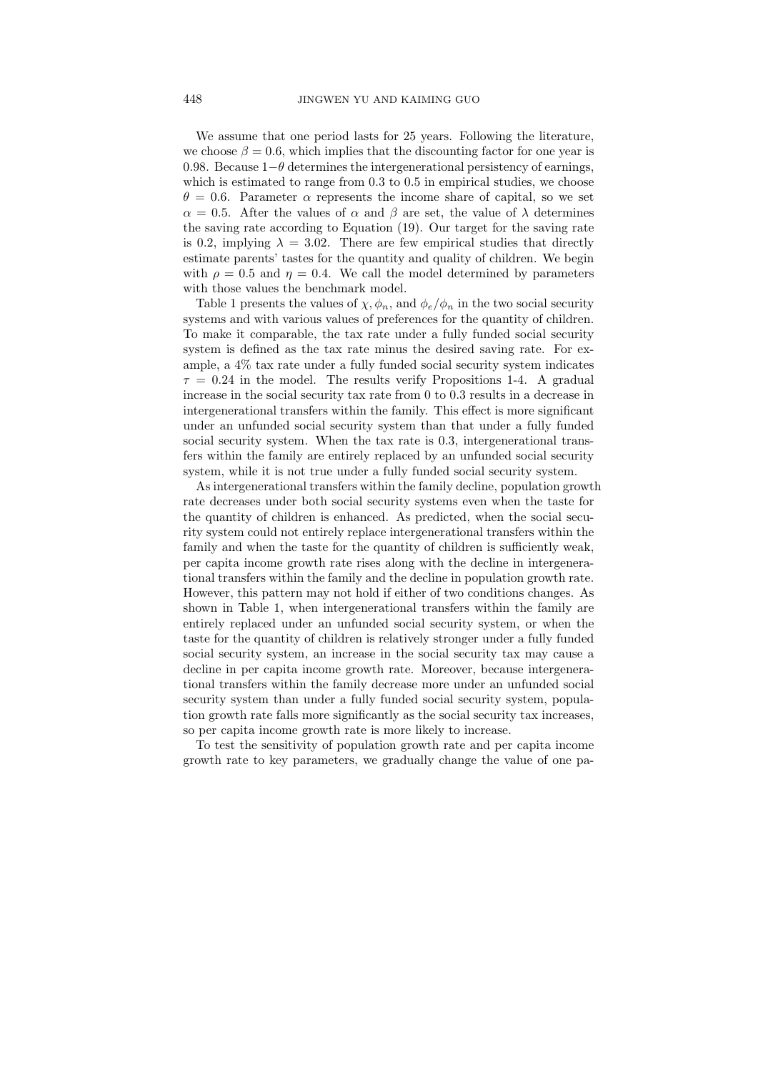We assume that one period lasts for 25 years. Following the literature, we choose  $\beta = 0.6$ , which implies that the discounting factor for one year is 0.98. Because  $1-\theta$  determines the intergenerational persistency of earnings, which is estimated to range from  $0.3$  to  $0.5$  in empirical studies, we choose  $\theta = 0.6$ . Parameter  $\alpha$  represents the income share of capital, so we set  $\alpha = 0.5$ . After the values of  $\alpha$  and  $\beta$  are set, the value of  $\lambda$  determines the saving rate according to Equation (19). Our target for the saving rate is 0.2, implying  $\lambda = 3.02$ . There are few empirical studies that directly estimate parents' tastes for the quantity and quality of children. We begin with  $\rho = 0.5$  and  $\eta = 0.4$ . We call the model determined by parameters with those values the benchmark model.

Table 1 presents the values of  $\chi, \phi_n$ , and  $\phi_e/\phi_n$  in the two social security systems and with various values of preferences for the quantity of children. To make it comparable, the tax rate under a fully funded social security system is defined as the tax rate minus the desired saving rate. For example, a 4% tax rate under a fully funded social security system indicates  $\tau = 0.24$  in the model. The results verify Propositions 1-4. A gradual increase in the social security tax rate from 0 to 0.3 results in a decrease in intergenerational transfers within the family. This effect is more significant under an unfunded social security system than that under a fully funded social security system. When the tax rate is 0.3, intergenerational transfers within the family are entirely replaced by an unfunded social security system, while it is not true under a fully funded social security system.

As intergenerational transfers within the family decline, population growth rate decreases under both social security systems even when the taste for the quantity of children is enhanced. As predicted, when the social security system could not entirely replace intergenerational transfers within the family and when the taste for the quantity of children is sufficiently weak, per capita income growth rate rises along with the decline in intergenerational transfers within the family and the decline in population growth rate. However, this pattern may not hold if either of two conditions changes. As shown in Table 1, when intergenerational transfers within the family are entirely replaced under an unfunded social security system, or when the taste for the quantity of children is relatively stronger under a fully funded social security system, an increase in the social security tax may cause a decline in per capita income growth rate. Moreover, because intergenerational transfers within the family decrease more under an unfunded social security system than under a fully funded social security system, population growth rate falls more significantly as the social security tax increases, so per capita income growth rate is more likely to increase.

To test the sensitivity of population growth rate and per capita income growth rate to key parameters, we gradually change the value of one pa-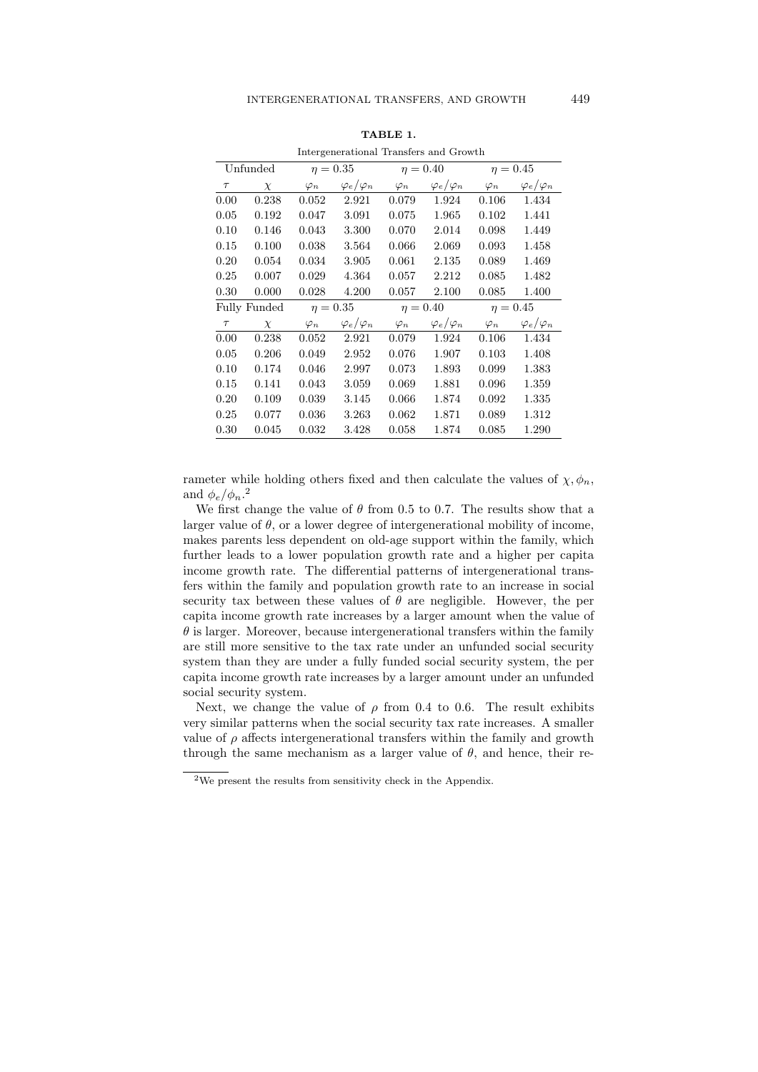| http://www.chenter.com/communication |        |               |                       |                                |                       |               |                       |  |  |
|--------------------------------------|--------|---------------|-----------------------|--------------------------------|-----------------------|---------------|-----------------------|--|--|
| Unfunded                             |        | $\eta=0.35$   |                       | $\eta = 0.40$                  |                       | $\eta = 0.45$ |                       |  |  |
| $\tau$                               | $\chi$ | $\varphi_n$   | $\varphi_e/\varphi_n$ | $\varphi_n$                    | $\varphi_e/\varphi_n$ | $\varphi_n$   | $\varphi_e/\varphi_n$ |  |  |
| 0.00                                 | 0.238  | 0.052         | 2.921                 | 0.079                          | 1.924                 | 0.106         | 1.434                 |  |  |
| 0.05                                 | 0.192  | 0.047         | 3.091                 | 0.075                          | 1.965                 | 0.102         | 1.441                 |  |  |
| 0.10                                 | 0.146  | 0.043         | 3.300                 | 0.070                          | 2.014                 | 0.098         | 1.449                 |  |  |
| 0.15                                 | 0.100  | 0.038         | 3.564                 | 0.066                          | 2.069                 | 0.093         | 1.458                 |  |  |
| 0.20                                 | 0.054  | 0.034         | 3.905                 | 0.061                          | 2.135                 | 0.089         | 1.469                 |  |  |
| 0.25                                 | 0.007  | 0.029         | 4.364                 | 0.057                          | 2.212                 | 0.085         | 1.482                 |  |  |
| 0.30                                 | 0.000  | 0.028         | 4.200                 | 0.057                          | 2.100                 | 0.085         | 1.400                 |  |  |
| Fully Funded                         |        | $\eta = 0.35$ |                       | $\eta = 0.45$<br>$\eta = 0.40$ |                       |               |                       |  |  |
| $\tau$                               | $\chi$ | $\varphi_n$   | $\varphi_e/\varphi_n$ | $\varphi_n$                    | $\varphi_e/\varphi_n$ | $\varphi_n$   | $\varphi_e/\varphi_n$ |  |  |
| 0.00                                 | 0.238  | 0.052         | 2.921                 | 0.079                          | 1.924                 | 0.106         | 1.434                 |  |  |
| 0.05                                 | 0.206  | 0.049         | 2.952                 | 0.076                          | 1.907                 | 0.103         | 1.408                 |  |  |
| 0.10                                 | 0.174  | 0.046         | 2.997                 | 0.073                          | 1.893                 | 0.099         | 1.383                 |  |  |
| 0.15                                 | 0.141  | 0.043         | 3.059                 | 0.069                          | 1.881                 | 0.096         | 1.359                 |  |  |
| 0.20                                 | 0.109  | 0.039         | 3.145                 | 0.066                          | 1.874                 | 0.092         | 1.335                 |  |  |
| 0.25                                 | 0.077  | 0.036         | 3.263                 | 0.062                          | 1.871                 | 0.089         | 1.312                 |  |  |
| 0.30                                 | 0.045  | 0.032         | 3.428                 | 0.058                          | 1.874                 | 0.085         | 1.290                 |  |  |
|                                      |        |               |                       |                                |                       |               |                       |  |  |

| TABLE |  |
|-------|--|
|-------|--|

Intergenerational Transfers and Growth

rameter while holding others fixed and then calculate the values of  $\chi, \phi_n$ , and  $\phi_e/\phi_n$ .<sup>2</sup>

We first change the value of  $\theta$  from 0.5 to 0.7. The results show that a larger value of  $\theta$ , or a lower degree of intergenerational mobility of income, makes parents less dependent on old-age support within the family, which further leads to a lower population growth rate and a higher per capita income growth rate. The differential patterns of intergenerational transfers within the family and population growth rate to an increase in social security tax between these values of  $\theta$  are negligible. However, the per capita income growth rate increases by a larger amount when the value of  $\theta$  is larger. Moreover, because intergenerational transfers within the family are still more sensitive to the tax rate under an unfunded social security system than they are under a fully funded social security system, the per capita income growth rate increases by a larger amount under an unfunded social security system.

Next, we change the value of  $\rho$  from 0.4 to 0.6. The result exhibits very similar patterns when the social security tax rate increases. A smaller value of  $\rho$  affects intergenerational transfers within the family and growth through the same mechanism as a larger value of  $\theta$ , and hence, their re-

 $^2\mathrm{We}$  present the results from sensitivity check in the Appendix.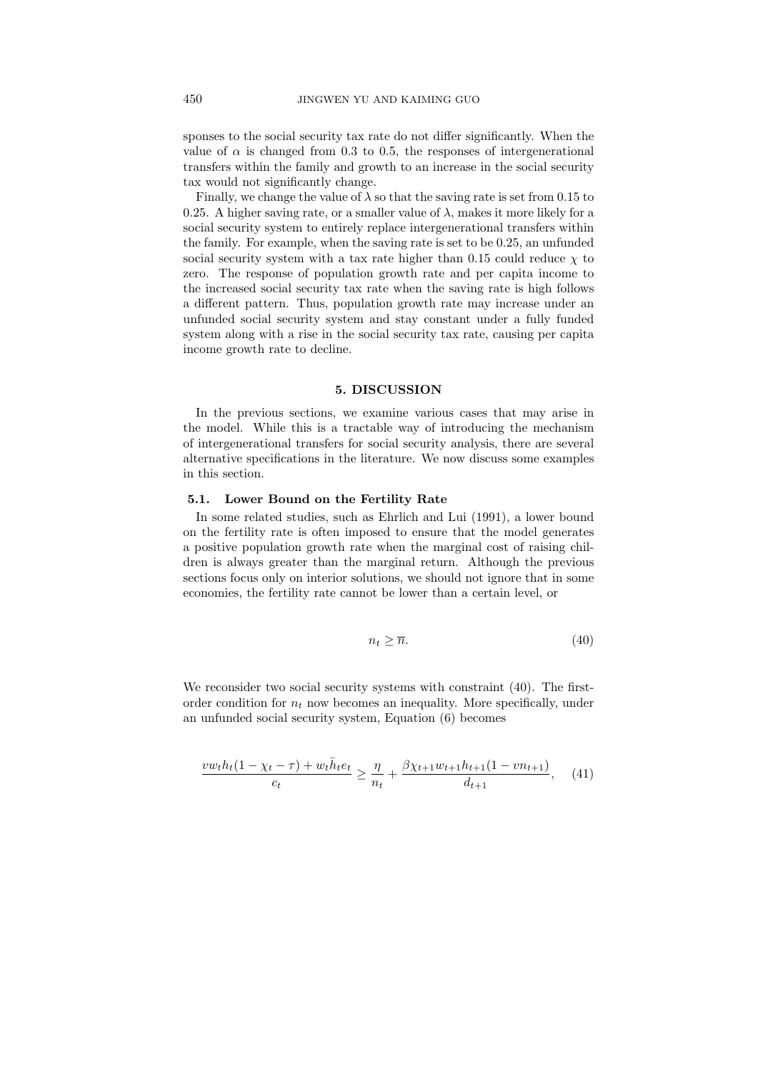sponses to the social security tax rate do not differ significantly. When the value of  $\alpha$  is changed from 0.3 to 0.5, the responses of intergenerational transfers within the family and growth to an increase in the social security tax would not significantly change.

Finally, we change the value of  $\lambda$  so that the saving rate is set from 0.15 to 0.25. A higher saving rate, or a smaller value of  $\lambda$ , makes it more likely for a social security system to entirely replace intergenerational transfers within the family. For example, when the saving rate is set to be 0.25, an unfunded social security system with a tax rate higher than 0.15 could reduce  $\chi$  to zero. The response of population growth rate and per capita income to the increased social security tax rate when the saving rate is high follows a different pattern. Thus, population growth rate may increase under an unfunded social security system and stay constant under a fully funded system along with a rise in the social security tax rate, causing per capita income growth rate to decline.

# 5. DISCUSSION

In the previous sections, we examine various cases that may arise in the model. While this is a tractable way of introducing the mechanism of intergenerational transfers for social security analysis, there are several alternative specifications in the literature. We now discuss some examples in this section.

## 5.1. Lower Bound on the Fertility Rate

In some related studies, such as Ehrlich and Lui (1991), a lower bound on the fertility rate is often imposed to ensure that the model generates a positive population growth rate when the marginal cost of raising children is always greater than the marginal return. Although the previous sections focus only on interior solutions, we should not ignore that in some economies, the fertility rate cannot be lower than a certain level, or

$$
n_t \ge \overline{n}.\tag{40}
$$

We reconsider two social security systems with constraint (40). The firstorder condition for  $n_t$  now becomes an inequality. More specifically, under an unfunded social security system, Equation (6) becomes

$$
\frac{vw_th_t(1-\chi_t-\tau)+w_t\bar{h}_te_t}{c_t} \ge \frac{\eta}{n_t} + \frac{\beta\chi_{t+1}w_{t+1}h_{t+1}(1-vn_{t+1})}{d_{t+1}},\quad (41)
$$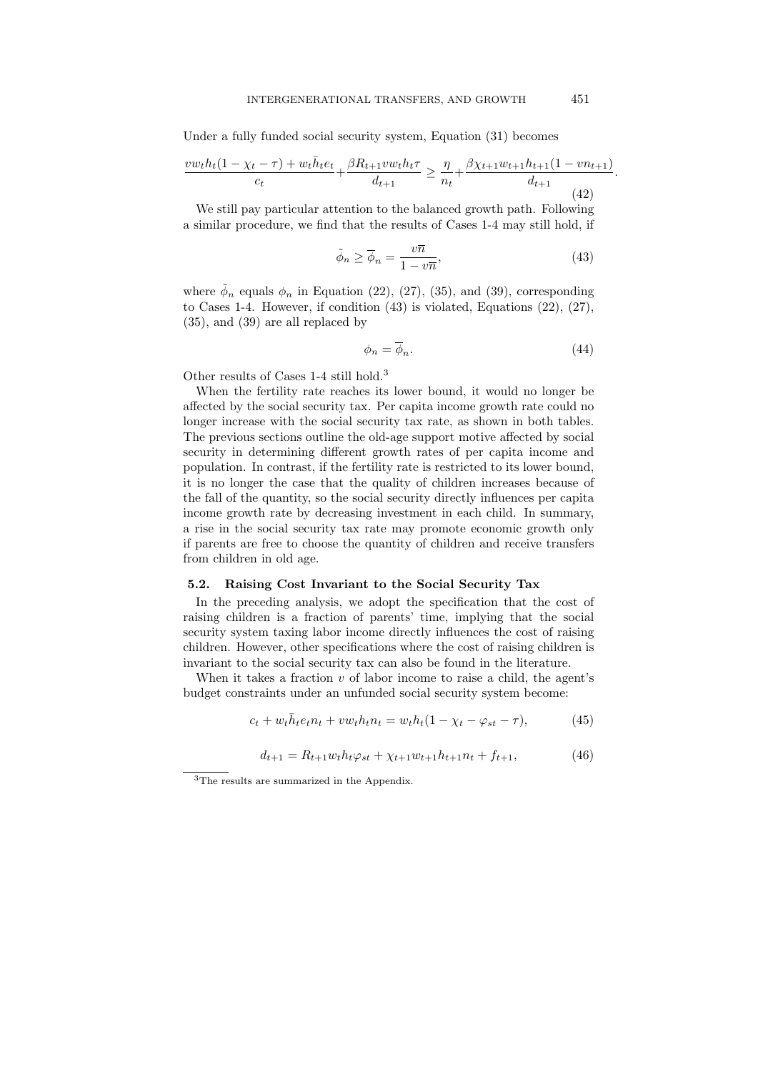Under a fully funded social security system, Equation (31) becomes

$$
\frac{vw_th_t(1-\chi_t-\tau) + w_t\bar{h}_te_t}{c_t} + \frac{\beta R_{t+1}vw_th_t\tau}{d_{t+1}} \ge \frac{\eta}{n_t} + \frac{\beta \chi_{t+1}w_{t+1}h_{t+1}(1-vn_{t+1})}{d_{t+1}}.
$$
\n(42)

We still pay particular attention to the balanced growth path. Following a similar procedure, we find that the results of Cases 1-4 may still hold, if

$$
\tilde{\phi}_n \ge \overline{\phi}_n = \frac{v\overline{n}}{1 - v\overline{n}},\tag{43}
$$

where  $\tilde{\phi}_n$  equals  $\phi_n$  in Equation (22), (27), (35), and (39), corresponding to Cases 1-4. However, if condition  $(43)$  is violated, Equations  $(22)$ ,  $(27)$ , (35), and (39) are all replaced by

$$
\phi_n = \overline{\phi}_n. \tag{44}
$$

Other results of Cases 1-4 still hold.<sup>3</sup>

When the fertility rate reaches its lower bound, it would no longer be affected by the social security tax. Per capita income growth rate could no longer increase with the social security tax rate, as shown in both tables. The previous sections outline the old-age support motive affected by social security in determining different growth rates of per capita income and population. In contrast, if the fertility rate is restricted to its lower bound, it is no longer the case that the quality of children increases because of the fall of the quantity, so the social security directly influences per capita income growth rate by decreasing investment in each child. In summary, a rise in the social security tax rate may promote economic growth only if parents are free to choose the quantity of children and receive transfers from children in old age.

#### 5.2. Raising Cost Invariant to the Social Security Tax

In the preceding analysis, we adopt the specification that the cost of raising children is a fraction of parents' time, implying that the social security system taxing labor income directly influences the cost of raising children. However, other specifications where the cost of raising children is invariant to the social security tax can also be found in the literature.

When it takes a fraction  $v$  of labor income to raise a child, the agent's budget constraints under an unfunded social security system become:

$$
c_t + w_t \bar{h}_t e_t n_t + v w_t h_t n_t = w_t h_t (1 - \chi_t - \varphi_{st} - \tau), \tag{45}
$$

$$
d_{t+1} = R_{t+1} w_t h_t \varphi_{st} + \chi_{t+1} w_{t+1} h_{t+1} n_t + f_{t+1},
$$
\n(46)

 $^3 \mathrm{The}$  results are summarized in the Appendix.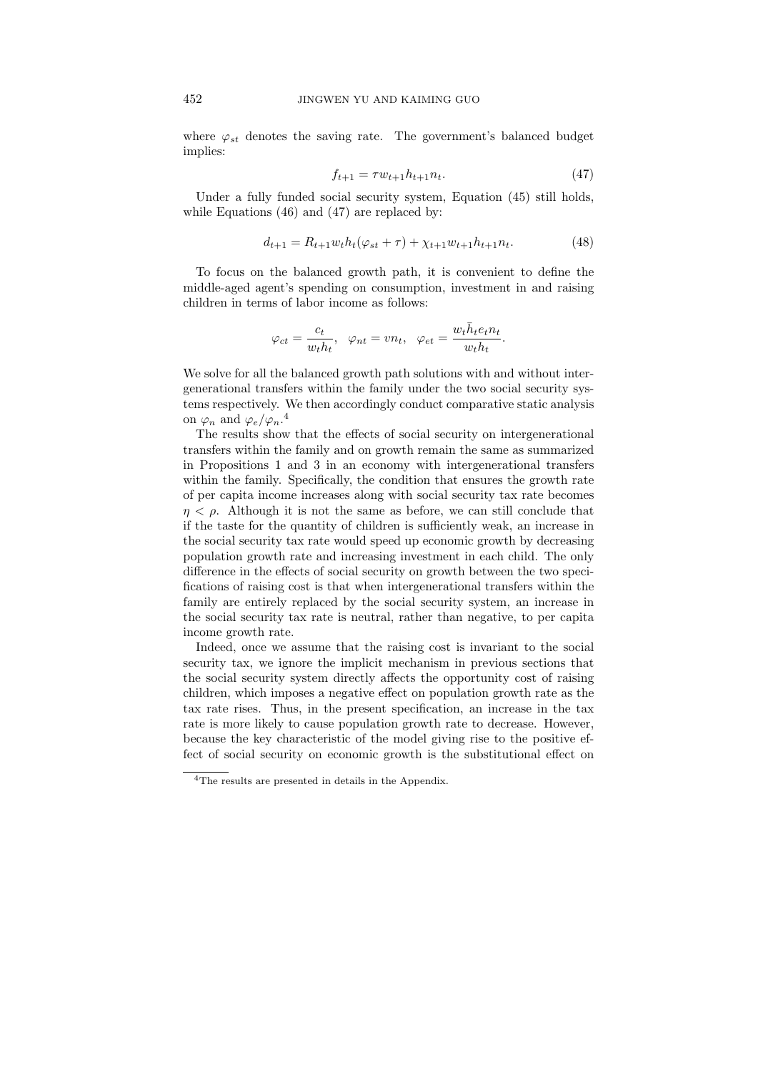where  $\varphi_{st}$  denotes the saving rate. The government's balanced budget implies:

$$
f_{t+1} = \tau w_{t+1} h_{t+1} n_t. \tag{47}
$$

Under a fully funded social security system, Equation (45) still holds, while Equations (46) and (47) are replaced by:

$$
d_{t+1} = R_{t+1} w_t h_t (\varphi_{st} + \tau) + \chi_{t+1} w_{t+1} h_{t+1} n_t.
$$
 (48)

To focus on the balanced growth path, it is convenient to define the middle-aged agent's spending on consumption, investment in and raising children in terms of labor income as follows:

$$
\varphi_{ct} = \frac{c_t}{w_t h_t}, \quad \varphi_{nt} = v n_t, \quad \varphi_{et} = \frac{w_t \bar{h}_t e_t n_t}{w_t h_t}.
$$

We solve for all the balanced growth path solutions with and without intergenerational transfers within the family under the two social security systems respectively. We then accordingly conduct comparative static analysis on  $\varphi_n$  and  $\varphi_e/\varphi_n$ .<sup>4</sup>

The results show that the effects of social security on intergenerational transfers within the family and on growth remain the same as summarized in Propositions 1 and 3 in an economy with intergenerational transfers within the family. Specifically, the condition that ensures the growth rate of per capita income increases along with social security tax rate becomes  $n < \rho$ . Although it is not the same as before, we can still conclude that if the taste for the quantity of children is sufficiently weak, an increase in the social security tax rate would speed up economic growth by decreasing population growth rate and increasing investment in each child. The only difference in the effects of social security on growth between the two specifications of raising cost is that when intergenerational transfers within the family are entirely replaced by the social security system, an increase in the social security tax rate is neutral, rather than negative, to per capita income growth rate.

Indeed, once we assume that the raising cost is invariant to the social security tax, we ignore the implicit mechanism in previous sections that the social security system directly affects the opportunity cost of raising children, which imposes a negative effect on population growth rate as the tax rate rises. Thus, in the present specification, an increase in the tax rate is more likely to cause population growth rate to decrease. However, because the key characteristic of the model giving rise to the positive effect of social security on economic growth is the substitutional effect on

<sup>4</sup>The results are presented in details in the Appendix.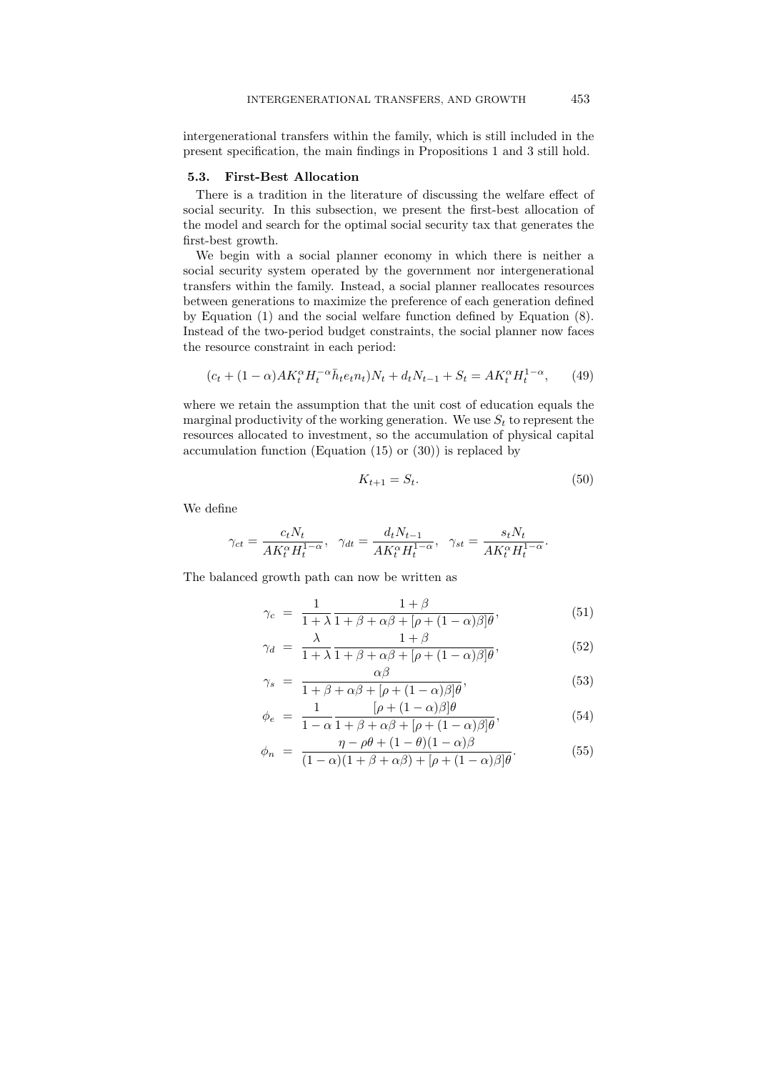intergenerational transfers within the family, which is still included in the present specification, the main findings in Propositions 1 and 3 still hold.

## 5.3. First-Best Allocation

There is a tradition in the literature of discussing the welfare effect of social security. In this subsection, we present the first-best allocation of the model and search for the optimal social security tax that generates the first-best growth.

We begin with a social planner economy in which there is neither a social security system operated by the government nor intergenerational transfers within the family. Instead, a social planner reallocates resources between generations to maximize the preference of each generation defined by Equation (1) and the social welfare function defined by Equation (8). Instead of the two-period budget constraints, the social planner now faces the resource constraint in each period:

$$
(c_t + (1 - \alpha)AK_t^{\alpha}H_t^{-\alpha}\bar{h}_te_t n_t)N_t + d_tN_{t-1} + S_t = AK_t^{\alpha}H_t^{1-\alpha}, \qquad (49)
$$

where we retain the assumption that the unit cost of education equals the marginal productivity of the working generation. We use  $S_t$  to represent the resources allocated to investment, so the accumulation of physical capital accumulation function (Equation (15) or (30)) is replaced by

$$
K_{t+1} = S_t. \tag{50}
$$

We define

$$
\gamma_{ct}=\frac{c_tN_t}{AK_t^\alpha H_t^{1-\alpha}},\ \ \gamma_{dt}=\frac{d_tN_{t-1}}{AK_t^\alpha H_t^{1-\alpha}},\ \ \gamma_{st}=\frac{s_tN_t}{AK_t^\alpha H_t^{1-\alpha}}.
$$

The balanced growth path can now be written as

$$
\gamma_c = \frac{1}{1+\lambda} \frac{1+\beta}{1+\beta+\alpha\beta+\left[\rho+(1-\alpha)\beta\right]\theta},\tag{51}
$$

$$
\gamma_d = \frac{\lambda}{1 + \lambda} \frac{1 + \beta}{1 + \beta + \alpha\beta + [\rho + (1 - \alpha)\beta]\theta},\tag{52}
$$

$$
\gamma_s = \frac{\alpha \beta}{1 + \beta + \alpha \beta + [\rho + (1 - \alpha)\beta]\theta},\tag{53}
$$

$$
\phi_e = \frac{1}{1 - \alpha} \frac{[\rho + (1 - \alpha)\beta]\theta}{1 + \beta + \alpha\beta + [\rho + (1 - \alpha)\beta]\theta},\tag{54}
$$

$$
\phi_n = \frac{\eta - \rho \theta + (1 - \theta)(1 - \alpha)\beta}{(1 - \alpha)(1 + \beta + \alpha\beta) + [\rho + (1 - \alpha)\beta]\theta}.
$$
\n(55)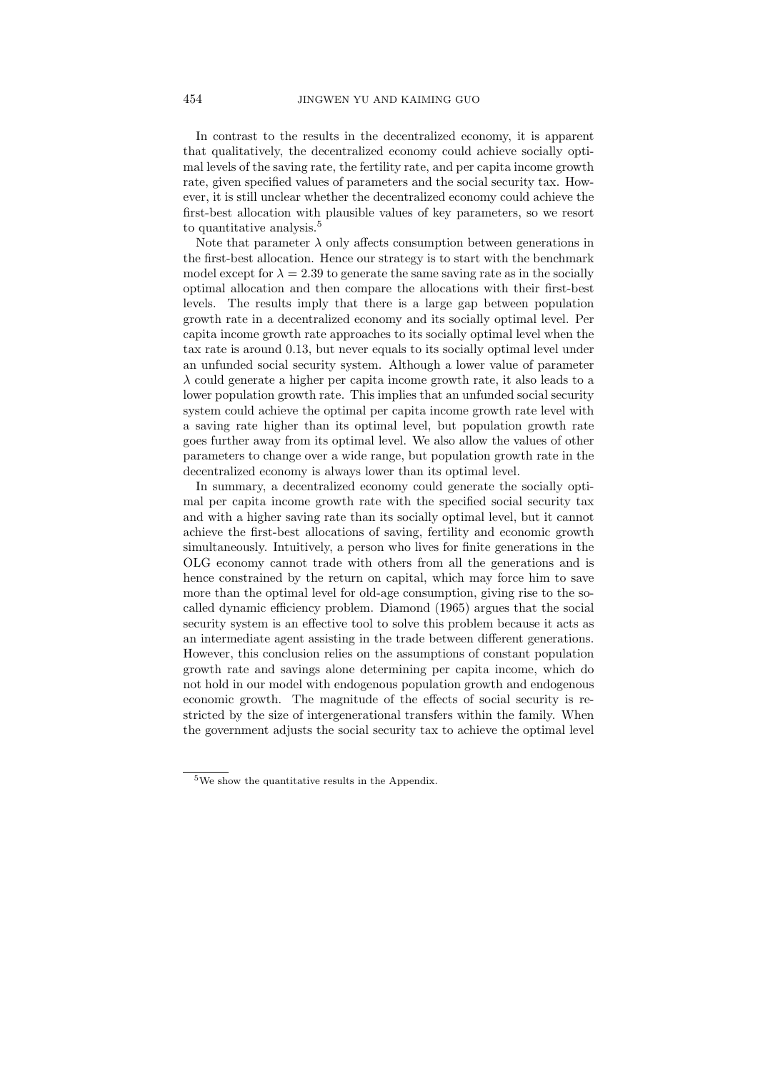In contrast to the results in the decentralized economy, it is apparent that qualitatively, the decentralized economy could achieve socially optimal levels of the saving rate, the fertility rate, and per capita income growth rate, given specified values of parameters and the social security tax. However, it is still unclear whether the decentralized economy could achieve the first-best allocation with plausible values of key parameters, so we resort to quantitative analysis.<sup>5</sup>

Note that parameter  $\lambda$  only affects consumption between generations in the first-best allocation. Hence our strategy is to start with the benchmark model except for  $\lambda = 2.39$  to generate the same saving rate as in the socially optimal allocation and then compare the allocations with their first-best levels. The results imply that there is a large gap between population growth rate in a decentralized economy and its socially optimal level. Per capita income growth rate approaches to its socially optimal level when the tax rate is around 0.13, but never equals to its socially optimal level under an unfunded social security system. Although a lower value of parameter  $\lambda$  could generate a higher per capita income growth rate, it also leads to a lower population growth rate. This implies that an unfunded social security system could achieve the optimal per capita income growth rate level with a saving rate higher than its optimal level, but population growth rate goes further away from its optimal level. We also allow the values of other parameters to change over a wide range, but population growth rate in the decentralized economy is always lower than its optimal level.

In summary, a decentralized economy could generate the socially optimal per capita income growth rate with the specified social security tax and with a higher saving rate than its socially optimal level, but it cannot achieve the first-best allocations of saving, fertility and economic growth simultaneously. Intuitively, a person who lives for finite generations in the OLG economy cannot trade with others from all the generations and is hence constrained by the return on capital, which may force him to save more than the optimal level for old-age consumption, giving rise to the socalled dynamic efficiency problem. Diamond (1965) argues that the social security system is an effective tool to solve this problem because it acts as an intermediate agent assisting in the trade between different generations. However, this conclusion relies on the assumptions of constant population growth rate and savings alone determining per capita income, which do not hold in our model with endogenous population growth and endogenous economic growth. The magnitude of the effects of social security is restricted by the size of intergenerational transfers within the family. When the government adjusts the social security tax to achieve the optimal level

 ${\rm ^5We}$  show the quantitative results in the Appendix.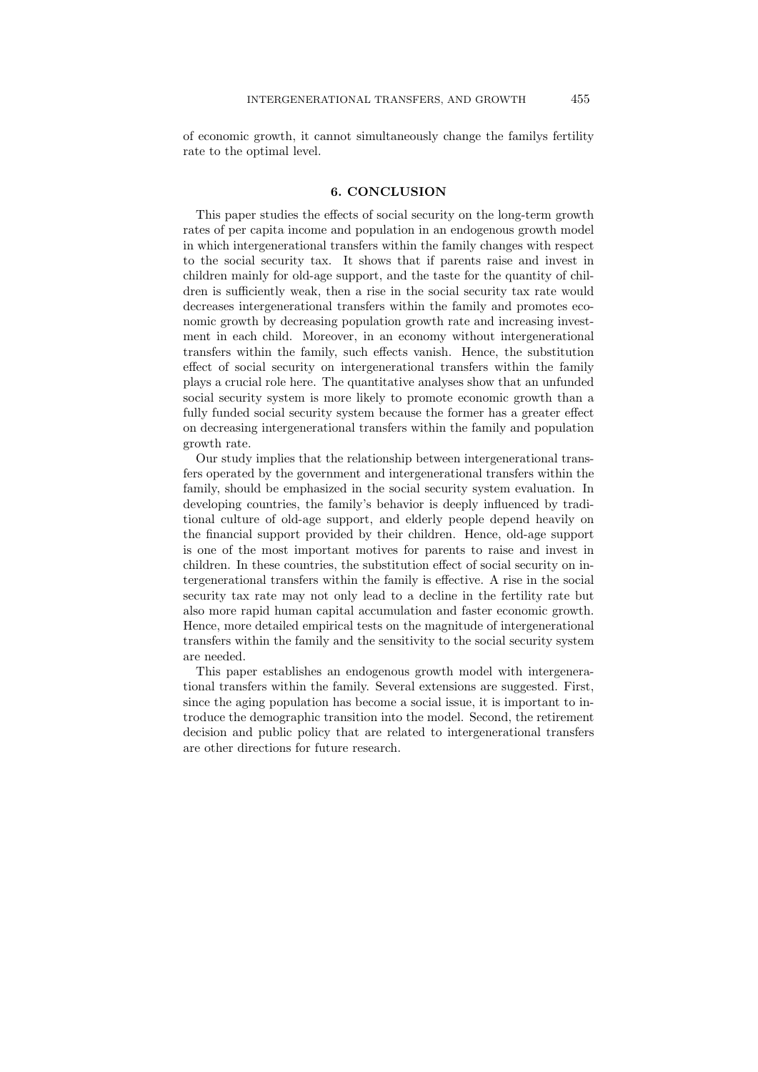of economic growth, it cannot simultaneously change the familys fertility rate to the optimal level.

#### 6. CONCLUSION

This paper studies the effects of social security on the long-term growth rates of per capita income and population in an endogenous growth model in which intergenerational transfers within the family changes with respect to the social security tax. It shows that if parents raise and invest in children mainly for old-age support, and the taste for the quantity of children is sufficiently weak, then a rise in the social security tax rate would decreases intergenerational transfers within the family and promotes economic growth by decreasing population growth rate and increasing investment in each child. Moreover, in an economy without intergenerational transfers within the family, such effects vanish. Hence, the substitution effect of social security on intergenerational transfers within the family plays a crucial role here. The quantitative analyses show that an unfunded social security system is more likely to promote economic growth than a fully funded social security system because the former has a greater effect on decreasing intergenerational transfers within the family and population growth rate.

Our study implies that the relationship between intergenerational transfers operated by the government and intergenerational transfers within the family, should be emphasized in the social security system evaluation. In developing countries, the family's behavior is deeply influenced by traditional culture of old-age support, and elderly people depend heavily on the financial support provided by their children. Hence, old-age support is one of the most important motives for parents to raise and invest in children. In these countries, the substitution effect of social security on intergenerational transfers within the family is effective. A rise in the social security tax rate may not only lead to a decline in the fertility rate but also more rapid human capital accumulation and faster economic growth. Hence, more detailed empirical tests on the magnitude of intergenerational transfers within the family and the sensitivity to the social security system are needed.

This paper establishes an endogenous growth model with intergenerational transfers within the family. Several extensions are suggested. First, since the aging population has become a social issue, it is important to introduce the demographic transition into the model. Second, the retirement decision and public policy that are related to intergenerational transfers are other directions for future research.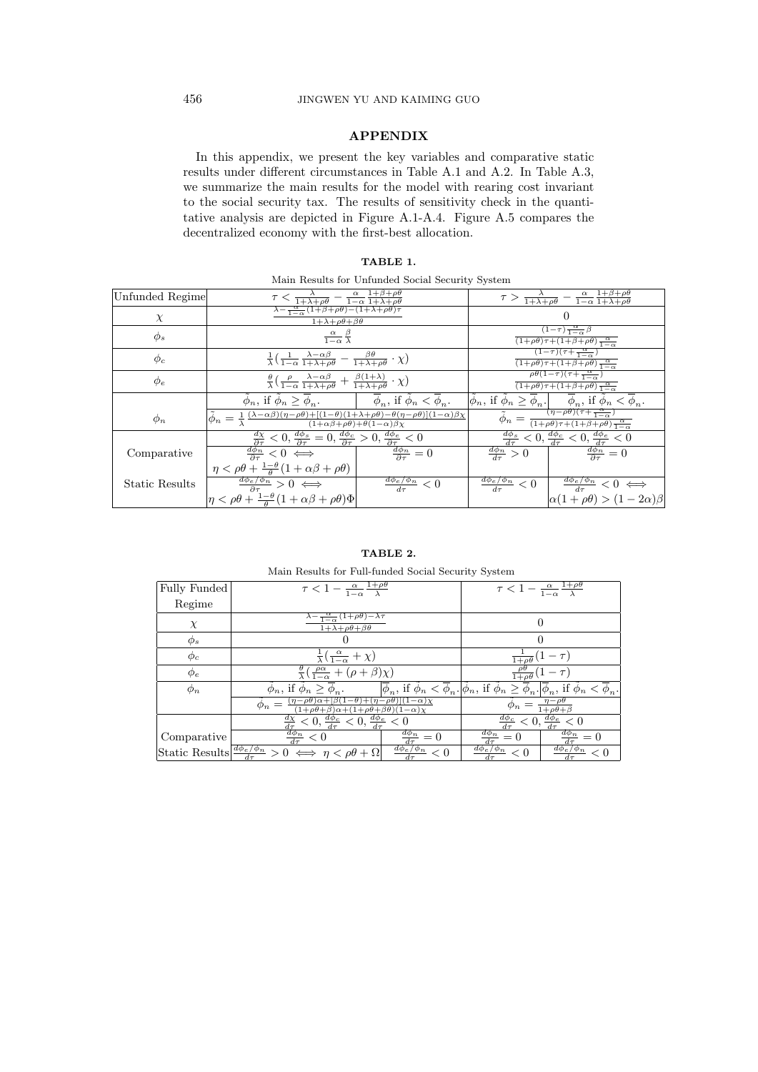# 456 JINGWEN YU AND KAIMING GUO

## APPENDIX

In this appendix, we present the key variables and comparative static results under different circumstances in Table A.1 and A.2. In Table A.3, we summarize the main results for the model with rearing cost invariant to the social security tax. The results of sensitivity check in the quantitative analysis are depicted in Figure A.1-A.4. Figure A.5 compares the decentralized economy with the first-best allocation.

# TABLE 1.

|  |  |  | Main Results for Unfunded Social Security System |  |  |  |
|--|--|--|--------------------------------------------------|--|--|--|
|--|--|--|--------------------------------------------------|--|--|--|

| Unfunded Regime       | $\tau < \frac{\lambda}{1+\lambda+\rho\theta} - \frac{\alpha}{1-\alpha} \frac{1+\beta+\rho\theta}{1+\lambda+\rho\theta}$                                                                                                                                |                                                                                                                                       | $\tau > \frac{\lambda}{1+\lambda+\rho\theta} - \frac{\alpha}{1-\alpha} \frac{1+\beta+\rho\theta}{1+\lambda+\rho\theta}$                   |                                                                                                                                                                 |  |  |
|-----------------------|--------------------------------------------------------------------------------------------------------------------------------------------------------------------------------------------------------------------------------------------------------|---------------------------------------------------------------------------------------------------------------------------------------|-------------------------------------------------------------------------------------------------------------------------------------------|-----------------------------------------------------------------------------------------------------------------------------------------------------------------|--|--|
| $\chi$                | $\frac{\alpha}{\lambda - \frac{\alpha}{1 - \alpha} (1 + \beta + \rho \theta) - (1 + \lambda + \rho \theta) \tau}$<br>$1+\lambda+\rho\theta+\beta\theta$                                                                                                |                                                                                                                                       | $\Omega$                                                                                                                                  |                                                                                                                                                                 |  |  |
| $\phi_s$              | $\frac{\alpha}{1-\alpha} \frac{\beta}{\lambda}$                                                                                                                                                                                                        |                                                                                                                                       | $(1-\tau)\frac{\alpha}{1-\alpha}\beta$<br>$\frac{\alpha}{(1+\rho\theta)\tau+(1+\beta+\rho\theta)}\frac{\alpha}{1-\alpha}$                 |                                                                                                                                                                 |  |  |
| $\phi_c$              | $\frac{1}{\lambda}(\frac{1}{1-\alpha}\frac{\lambda-\alpha\beta}{1+\lambda+\rho\theta}-\frac{\beta\theta}{1+\lambda+\rho\theta}\cdot\chi)$                                                                                                              |                                                                                                                                       | $\frac{(1-\tau)(\tau+\frac{\alpha}{1-\alpha})}{\tau+\frac{\alpha}{1-\alpha}}$<br>$\frac{\alpha}{(1+\rho\theta)\tau+(1+\beta+\rho\theta)}$ |                                                                                                                                                                 |  |  |
| $\phi_e$              | $\frac{\theta}{\lambda} \left( \frac{\rho}{1-\alpha} \frac{\lambda - \alpha \beta}{1 + \lambda + \rho \theta} + \frac{\beta(1+\lambda)}{1 + \lambda + \rho \theta} \cdot \chi \right)$                                                                 | $\rho\theta(1-\tau)(\tau+\frac{\alpha}{1-\alpha})$<br>$\frac{\alpha}{(1+\rho\theta)\tau+(1+\beta+\rho\theta)}\frac{\alpha}{1-\alpha}$ |                                                                                                                                           |                                                                                                                                                                 |  |  |
|                       | $\bar{\phi}_n$ , if $\bar{\phi}_n \geq \bar{\phi}_n$ . $\qquad \qquad \bar{\phi}_n$ , if $\bar{\phi}_n < \bar{\phi}_n$ .                                                                                                                               |                                                                                                                                       |                                                                                                                                           | $ \tilde{\phi}_n , \text{ if } \tilde{\phi}_n \geq \overline{\phi}_n.   \quad \overline{\phi}_n, \text{ if } \phi_n < \overline{\phi}_n.$                       |  |  |
| $\phi_n$              | $\tilde{\phi}_n = \frac{1}{\lambda} \frac{(\lambda - \alpha \beta)(\eta - \rho \theta) + [(1 - \theta)(1 + \lambda + \rho \theta) - \theta(\eta - \rho \theta)](1 - \alpha)\beta\chi}{(1 + \alpha \beta + \rho \theta) + \theta(1 - \alpha)\beta\chi}$ |                                                                                                                                       |                                                                                                                                           | $\overline{\phi}_n = \frac{(\eta - \rho \theta)(\tau + \frac{\alpha}{1 - \alpha})}{(1 + \rho \theta)\tau + (1 + \beta + \rho \theta)\frac{\alpha}{1 - \alpha}}$ |  |  |
|                       | $\frac{d\chi}{\partial \tau} < 0, \frac{d\phi_s}{\partial \tau} = 0, \frac{d\phi_c}{\partial \tau} > 0, \frac{d\phi_e}{\partial \tau} < 0$<br>$\frac{d\phi_n}{\partial \tau} < 0 \iff \frac{d\phi_n}{\partial \tau} = 0$                               |                                                                                                                                       |                                                                                                                                           | $\frac{d\phi_s}{d\tau}$ < 0, $\frac{d\phi_c}{d\tau}$ < 0, $\frac{d\phi_e}{d\tau}$ < 0                                                                           |  |  |
| Comparative           | $\frac{d\phi_n}{\partial \tau} < 0 \iff$                                                                                                                                                                                                               |                                                                                                                                       | $\frac{d\phi_n}{d\tau}>0$                                                                                                                 | $\frac{d\phi_n}{\partial \tau} = 0$                                                                                                                             |  |  |
|                       | $\eta < \rho\theta + \frac{1-\theta}{\theta}(1+\alpha\beta+\rho\theta)$                                                                                                                                                                                |                                                                                                                                       |                                                                                                                                           |                                                                                                                                                                 |  |  |
| <b>Static Results</b> | $\frac{d\phi_e/\phi_n}{\partial \tau} > 0 \iff$                                                                                                                                                                                                        | $\frac{d\phi_e/\phi_n}{d\tau} < 0$                                                                                                    |                                                                                                                                           | $\frac{d\phi_e/\phi_n}{d\tau} < 0$ $\frac{d\phi_e/\phi_n}{d\tau} < 0 \iff$                                                                                      |  |  |
|                       | $\left \eta < \rho\theta + \frac{1-\theta}{\theta}(1+\alpha\beta+\rho\theta)\Phi\right $                                                                                                                                                               |                                                                                                                                       |                                                                                                                                           | $\alpha(1+\rho\theta) > (1-2\alpha)\beta$                                                                                                                       |  |  |

## TABLE 2.

Main Results for Full-funded Social Security System

| Fully Funded | $\tau < 1 - \frac{\alpha}{1-\alpha} \frac{1+\rho\theta}{\lambda}$                                                       | $\tau < 1 - \frac{\alpha}{1-\alpha} \frac{1+\rho\theta}{\lambda}$                                                                                                    |  |  |
|--------------|-------------------------------------------------------------------------------------------------------------------------|----------------------------------------------------------------------------------------------------------------------------------------------------------------------|--|--|
| Regime       |                                                                                                                         |                                                                                                                                                                      |  |  |
| $\chi$       | $\lambda - \frac{\alpha}{1-\alpha}(1+\rho\theta) - \lambda\tau$<br>$1+\lambda+\rho\theta+\beta\theta$                   | $\left( \right)$                                                                                                                                                     |  |  |
| $\phi_s$     |                                                                                                                         |                                                                                                                                                                      |  |  |
| $\phi_c$     | $rac{1}{\lambda}(\frac{\alpha}{1-\alpha}+\chi)$                                                                         |                                                                                                                                                                      |  |  |
| $\phi_e$     | $\frac{\theta}{\lambda} \left( \frac{\rho \alpha}{1-\alpha} + (\rho + \beta) \chi \right)$                              | $\frac{\rho\theta}{1+\rho\theta}(1-\tau)$                                                                                                                            |  |  |
| $\phi_n$     | $\phi_n$ , if $\phi_n \geq \phi_n$ .                                                                                    | $ \overline{\phi}_n ,$ if $\phi_n < \overline{\phi}_n$ , $ \phi_n $ , if $\phi_n \geq \overline{\phi}_n$ , $ \overline{\phi}_n $ , if $\phi_n < \overline{\phi}_n$ . |  |  |
|              | $(1+\rho\theta+\beta)\alpha+(1+\rho\theta+\beta\theta)(1-\alpha)\gamma$                                                 | $\phi_n = \frac{\eta - \rho \theta}{1 + \rho \theta + \beta}$                                                                                                        |  |  |
|              | $\frac{d\chi}{d\tau} < 0, \frac{d\phi_c}{d\tau} < 0, \frac{d\phi_e}{d\tau} < 0$                                         | $\frac{d\phi_c}{d\tau} < 0, \frac{d\phi_e}{d\tau} < 0$                                                                                                               |  |  |
| Comparative  | $\frac{d\phi_n}{d\tau} < 0$<br>$\frac{d\phi_n}{d\tau}=0$                                                                | $\frac{d\phi_n}{d\tau}=0$<br>$\frac{d\phi_n}{d\tau}=0$                                                                                                               |  |  |
|              | Static Results $\frac{d\phi_e/\phi_n}{d\tau} > 0 \iff \eta < \rho\theta + \Omega$<br>$\frac{d\phi_e/\phi_n}{d\tau} < 0$ | $\frac{d\phi_e/\phi_n}{d\tau} < 0$<br>$\frac{d\phi_e/\phi_n}{d\tau} < 0$                                                                                             |  |  |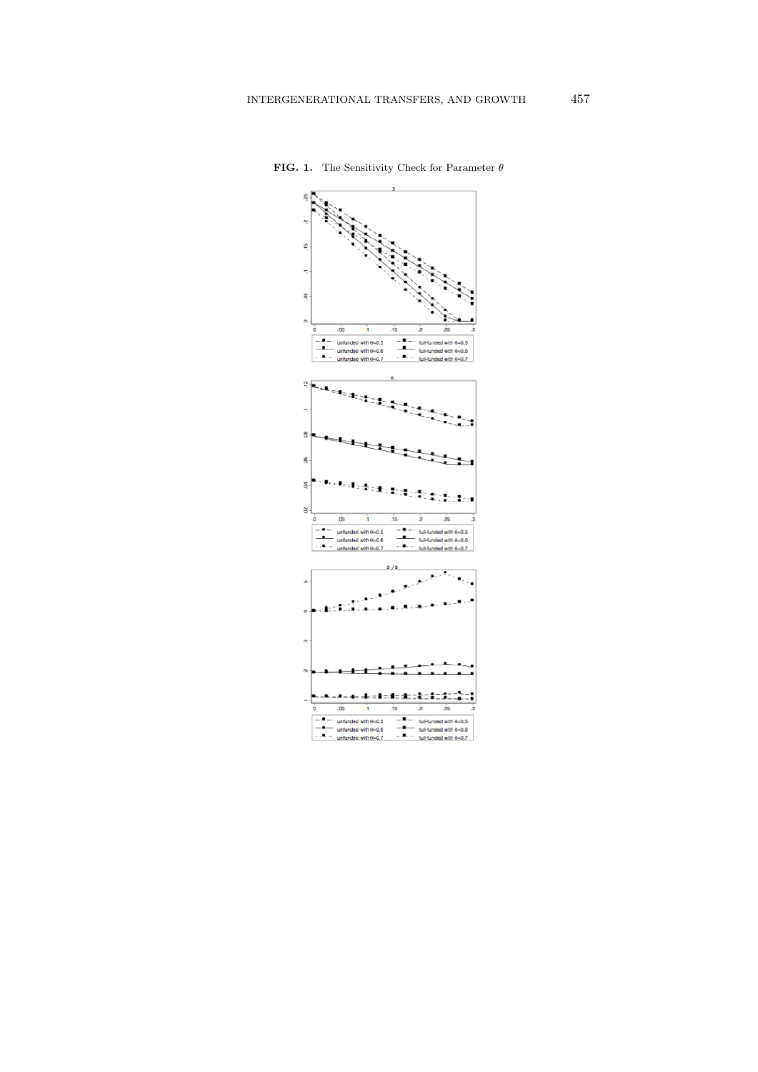

**FIG. 1.** The Sensitivity Check for Parameter  $\theta$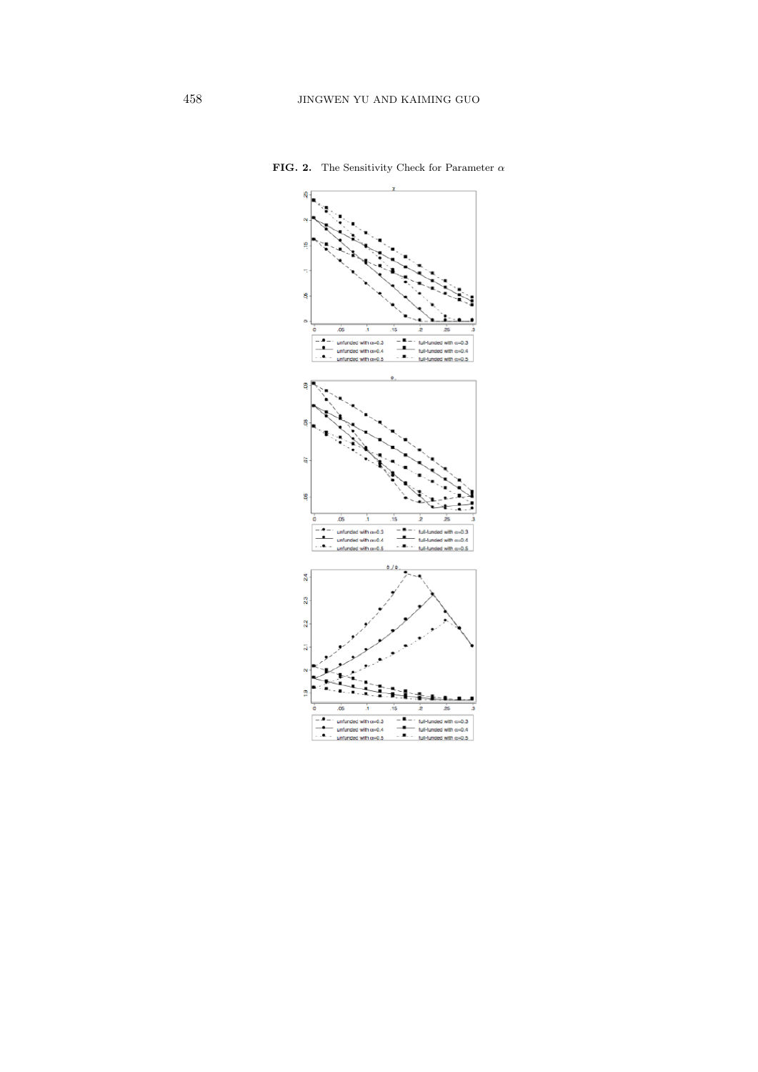

FIG. 2. The Sensitivity Check for Parameter  $\alpha$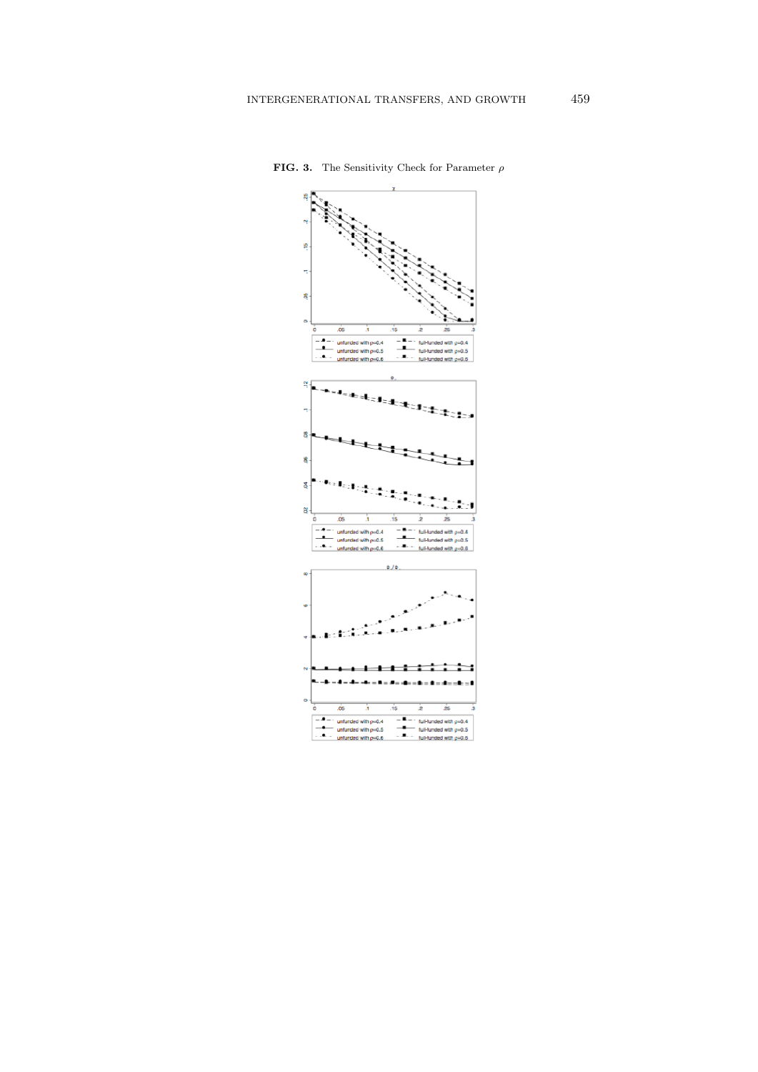

**FIG. 3.** The Sensitivity Check for Parameter  $\rho$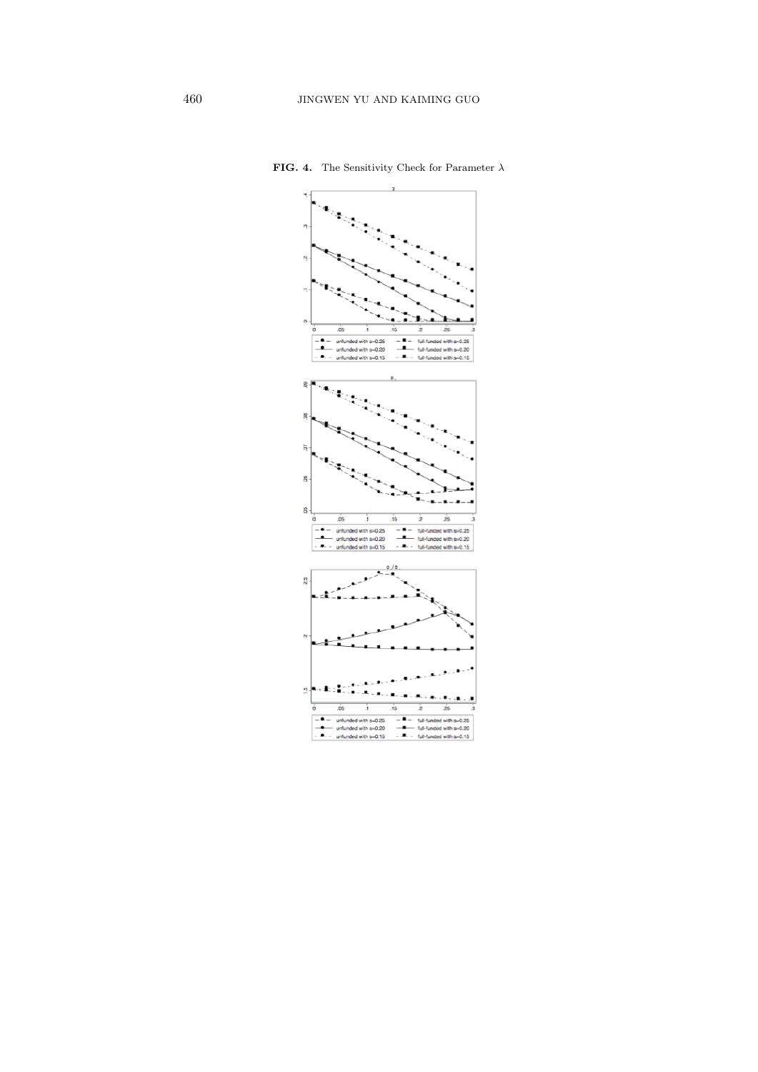

**FIG. 4.** The Sensitivity Check for Parameter  $\lambda$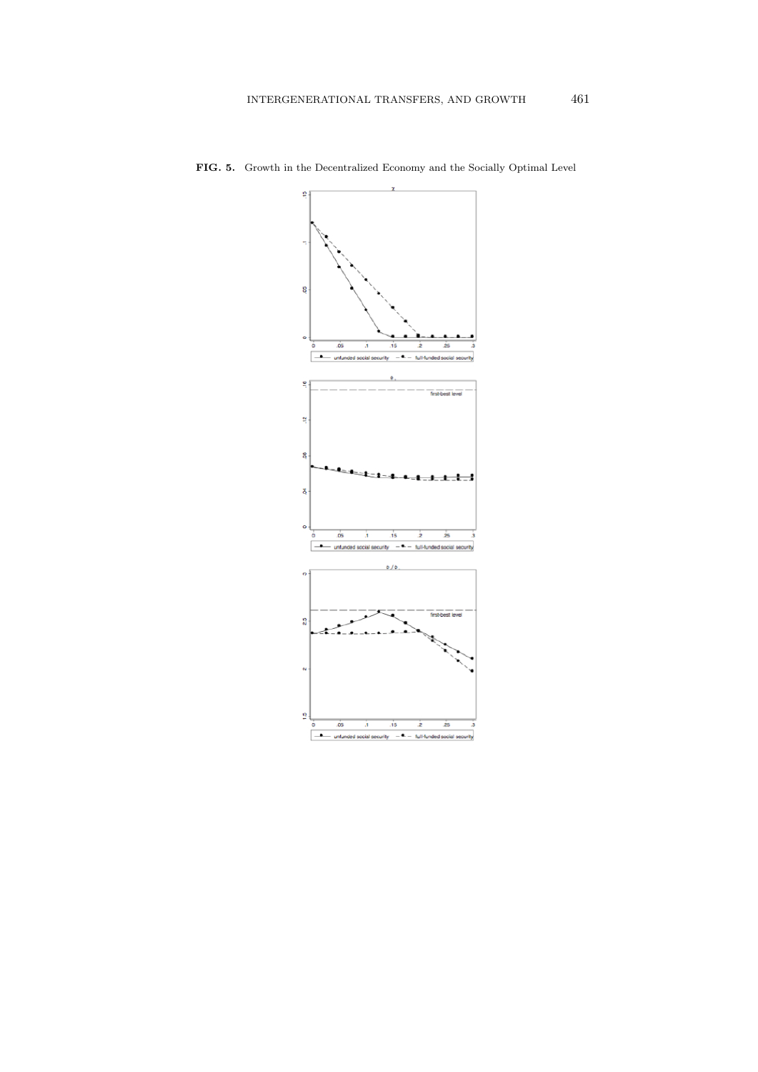

FIG. 5. Growth in the Decentralized Economy and the Socially Optimal Level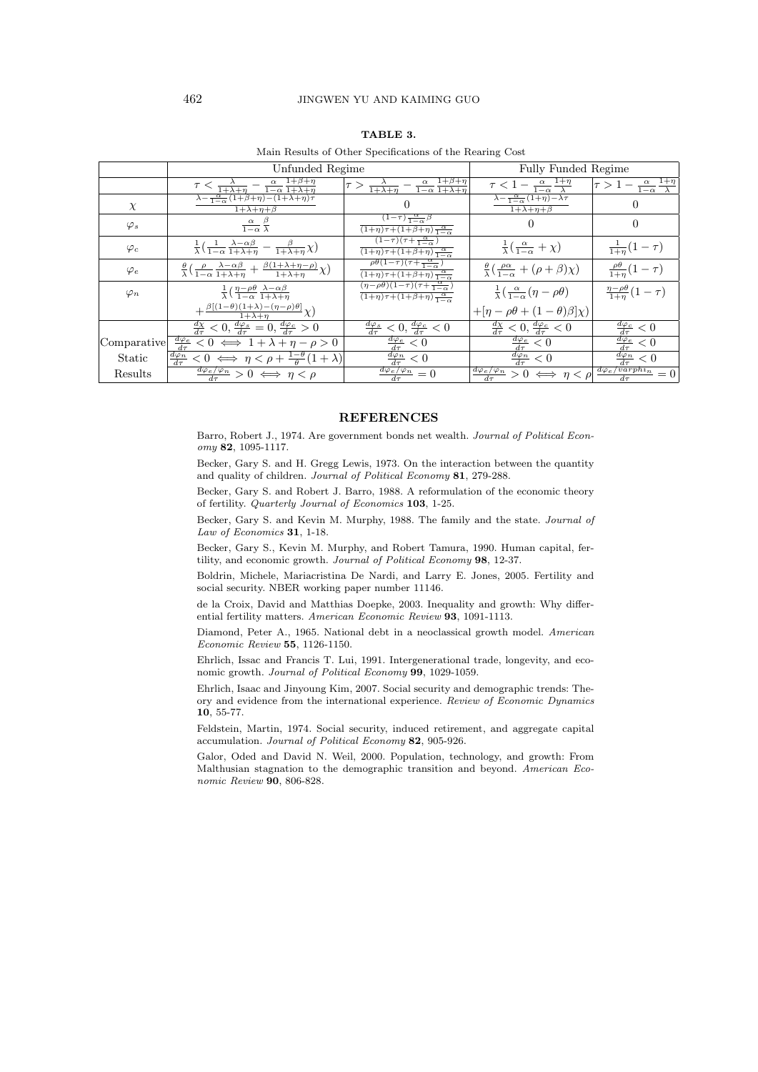## 462 JINGWEN YU AND KAIMING GUO

# TABLE 3.

|  |  |  |  |  |  |  | Main Results of Other Specifications of the Rearing Cost |  |
|--|--|--|--|--|--|--|----------------------------------------------------------|--|
|--|--|--|--|--|--|--|----------------------------------------------------------|--|

|             | Unfunded Regime                                                                                                                                                                     | Fully Funded Regime                                                                                                                                    |                                                                                            |                                                                                     |
|-------------|-------------------------------------------------------------------------------------------------------------------------------------------------------------------------------------|--------------------------------------------------------------------------------------------------------------------------------------------------------|--------------------------------------------------------------------------------------------|-------------------------------------------------------------------------------------|
|             | $\tau < \frac{\lambda}{1+\lambda+\eta} - \frac{\alpha}{1-\alpha} \frac{1+\beta+\eta}{1+\lambda+\eta}$                                                                               | $ \tau>\frac{\lambda}{1+\lambda+\eta}-\frac{\alpha}{1-\alpha}\frac{1+\beta+\eta}{1+\lambda+\eta}$                                                      | $\frac{\tau}{1-\alpha} \frac{1+\eta}{1-\alpha}$                                            | $\frac{\tau}{\tau} > 1 - \frac{\alpha}{1-\alpha} \frac{1+\overline{\eta}}{\lambda}$ |
| $\chi$      | $\lambda - \frac{\alpha}{1-\alpha} (1+\beta+\eta) - (1+\lambda+\eta)\tau$<br>$1+\lambda+\eta+\beta$                                                                                 |                                                                                                                                                        | $\lambda - \frac{\alpha}{1-\alpha}(1+\eta) - \lambda \tau$<br>$1+\lambda+\eta+\beta$       |                                                                                     |
| $\varphi_s$ | $\frac{\alpha}{1-\alpha} \frac{\beta}{\lambda}$                                                                                                                                     | $(1-\tau)\frac{\alpha}{1-\alpha}\beta$<br>$\frac{\alpha}{(1+\eta)\tau+(1+\beta+\eta)}\frac{\alpha}{1-\alpha}$                                          | $\theta$                                                                                   | 0                                                                                   |
| $\varphi_c$ | $\frac{1}{\lambda} \left( \frac{1}{1-\alpha} \frac{\lambda - \alpha \beta}{1 + \lambda + \eta} - \frac{\beta}{1 + \lambda + \eta} \chi \right)$                                     | $\frac{(\pi-\tau)(\tau+\frac{\alpha}{1-\alpha})}{\tau+\frac{\alpha}{1-\alpha}}$<br>$\frac{\alpha}{(1+\eta)\tau+(1+\beta+\eta)\frac{\alpha}{1-\alpha}}$ | $\frac{1}{\lambda}(\frac{\alpha}{1-\alpha}+\chi)$                                          | $\frac{1}{1+\eta}(1-\tau)$                                                          |
| $\varphi_e$ | $\frac{\theta}{\lambda} \left( \frac{\rho}{1-\alpha} \frac{\lambda - \alpha \beta}{1 + \lambda + \eta} + \frac{\beta (1 + \lambda + \eta - \rho)}{1 + \lambda + \eta} \chi \right)$ | $\rho\theta(1-\tau)(\tau+\frac{\alpha}{1-\alpha})$<br>$\frac{\alpha}{(1+\eta)\tau+(1+\beta+\eta)\frac{\alpha}{1-\alpha}}$                              | $\frac{\theta}{\lambda} \left( \frac{\rho \alpha}{1-\alpha} + (\rho + \beta) \chi \right)$ | $\frac{\rho\theta}{1+\eta}(1-\tau)$                                                 |
| $\varphi_n$ | $\frac{1}{\lambda} \left( \frac{\eta - \rho \theta}{1 - \alpha} \frac{\lambda - \alpha \beta}{1 + \lambda + \eta} \right)$                                                          | $(\eta-\rho\theta)(1-\tau)(\tau+\frac{\alpha}{1-\alpha})$<br>$\frac{\alpha}{(1+\eta)\tau+(1+\beta+\eta)\frac{\alpha}{1-\alpha}}$                       | $\frac{1}{\lambda}(\frac{\alpha}{1-\alpha}(\eta-\rho\theta))$                              | $\frac{\eta-\rho\theta}{1+n}(1-\tau)$                                               |
|             | $+\frac{\beta[(1-\theta)(1+\lambda)-(\eta-\rho)\theta]}{1+\lambda+\eta}\chi$                                                                                                        |                                                                                                                                                        | $+[\eta-\rho\theta+(1-\theta)\beta]\chi)$                                                  |                                                                                     |
|             | $\frac{d\chi}{d\tau} < 0, \frac{d\varphi_s}{d\tau} = 0, \frac{d\varphi_c}{d\tau} > 0$                                                                                               | $\frac{d\varphi_s}{d\tau} < 0, \frac{d\varphi_c}{d\tau} < 0$                                                                                           | $\frac{d\chi}{d\tau} < 0, \frac{d\varphi_c}{d\tau} < 0$                                    | $\frac{d\varphi_c}{d\tau}<0$                                                        |
| Comparative | $rac{d\varphi_e}{d\tau}$<br>$< 0 \iff 1 + \lambda + \eta - \rho > 0$                                                                                                                | $\frac{d\varphi_e}{d\tau} < 0$                                                                                                                         | $\frac{d\varphi_e}{d\tau} < 0$                                                             | $\frac{d\varphi_e}{d\tau}<0$                                                        |
| Static      | $\frac{d\varphi_n}{d\tau}$<br>$< 0 \iff \eta < \rho + \frac{1-\theta}{\theta}(1+\lambda)$                                                                                           | $\frac{d\varphi_n}{d\tau}<0$                                                                                                                           | $\frac{d\varphi_n}{d\tau}<0$                                                               | $\frac{d\varphi_n}{d\tau}<0$                                                        |
| Results     | $\frac{d\varphi_e/\varphi_n}{dx} > 0 \iff \eta < \rho$                                                                                                                              | $\frac{d\varphi_e/\varphi_n}{d\tau}=0$                                                                                                                 | $\frac{d\varphi_e/\varphi_n}{d\tau} > 0 \iff \eta < \rho$                                  | $\frac{d\varphi_e/varphi_n}{dt} = 0$                                                |

#### **REFERENCES**

Barro, Robert J., 1974. Are government bonds net wealth. Journal of Political Economy 82, 1095-1117.

Becker, Gary S. and H. Gregg Lewis, 1973. On the interaction between the quantity and quality of children. Journal of Political Economy 81, 279-288.

Becker, Gary S. and Robert J. Barro, 1988. A reformulation of the economic theory of fertility. Quarterly Journal of Economics 103, 1-25.

Becker, Gary S. and Kevin M. Murphy, 1988. The family and the state. Journal of Law of Economics 31, 1-18.

Becker, Gary S., Kevin M. Murphy, and Robert Tamura, 1990. Human capital, fertility, and economic growth. Journal of Political Economy 98, 12-37.

Boldrin, Michele, Mariacristina De Nardi, and Larry E. Jones, 2005. Fertility and social security. NBER working paper number 11146.

de la Croix, David and Matthias Doepke, 2003. Inequality and growth: Why differential fertility matters. American Economic Review 93, 1091-1113.

Diamond, Peter A., 1965. National debt in a neoclassical growth model. American Economic Review 55, 1126-1150.

Ehrlich, Issac and Francis T. Lui, 1991. Intergenerational trade, longevity, and economic growth. Journal of Political Economy 99, 1029-1059.

Ehrlich, Isaac and Jinyoung Kim, 2007. Social security and demographic trends: Theory and evidence from the international experience. Review of Economic Dynamics 10, 55-77.

Feldstein, Martin, 1974. Social security, induced retirement, and aggregate capital accumulation. Journal of Political Economy 82, 905-926.

Galor, Oded and David N. Weil, 2000. Population, technology, and growth: From Malthusian stagnation to the demographic transition and beyond. American Economic Review 90, 806-828.